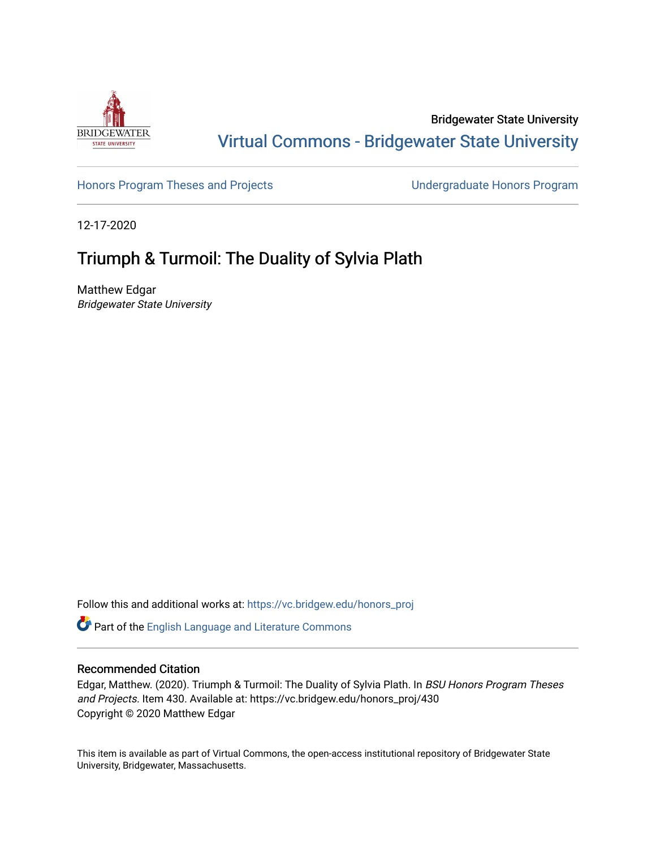

Bridgewater State University [Virtual Commons - Bridgewater State University](https://vc.bridgew.edu/) 

[Honors Program Theses and Projects](https://vc.bridgew.edu/honors_proj) [Undergraduate Honors Program](https://vc.bridgew.edu/honors) 

12-17-2020

## Triumph & Turmoil: The Duality of Sylvia Plath

Matthew Edgar Bridgewater State University

Follow this and additional works at: [https://vc.bridgew.edu/honors\\_proj](https://vc.bridgew.edu/honors_proj?utm_source=vc.bridgew.edu%2Fhonors_proj%2F430&utm_medium=PDF&utm_campaign=PDFCoverPages)

Part of the [English Language and Literature Commons](http://network.bepress.com/hgg/discipline/455?utm_source=vc.bridgew.edu%2Fhonors_proj%2F430&utm_medium=PDF&utm_campaign=PDFCoverPages)

## Recommended Citation

Edgar, Matthew. (2020). Triumph & Turmoil: The Duality of Sylvia Plath. In BSU Honors Program Theses and Projects. Item 430. Available at: https://vc.bridgew.edu/honors\_proj/430 Copyright © 2020 Matthew Edgar

This item is available as part of Virtual Commons, the open-access institutional repository of Bridgewater State University, Bridgewater, Massachusetts.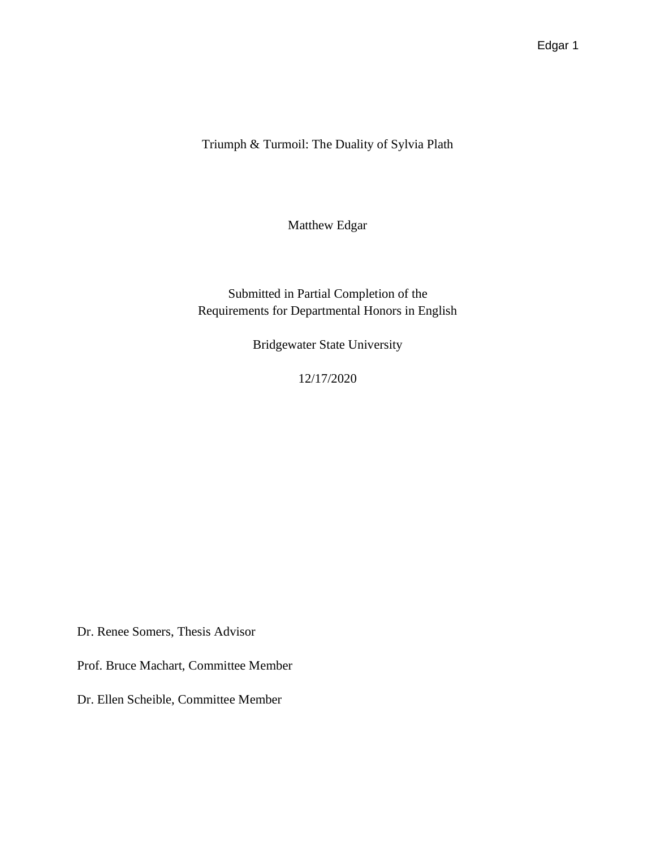Triumph & Turmoil: The Duality of Sylvia Plath

Matthew Edgar

Submitted in Partial Completion of the Requirements for Departmental Honors in English

Bridgewater State University

12/17/2020

Dr. Renee Somers, Thesis Advisor

Prof. Bruce Machart, Committee Member

Dr. Ellen Scheible, Committee Member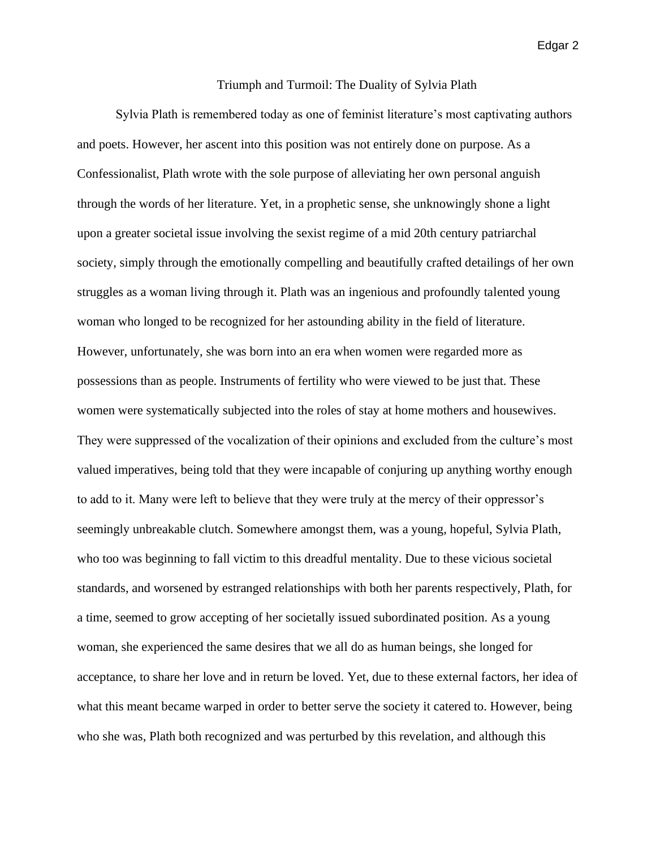## Triumph and Turmoil: The Duality of Sylvia Plath

Sylvia Plath is remembered today as one of feminist literature's most captivating authors and poets. However, her ascent into this position was not entirely done on purpose. As a Confessionalist, Plath wrote with the sole purpose of alleviating her own personal anguish through the words of her literature. Yet, in a prophetic sense, she unknowingly shone a light upon a greater societal issue involving the sexist regime of a mid 20th century patriarchal society, simply through the emotionally compelling and beautifully crafted detailings of her own struggles as a woman living through it. Plath was an ingenious and profoundly talented young woman who longed to be recognized for her astounding ability in the field of literature. However, unfortunately, she was born into an era when women were regarded more as possessions than as people. Instruments of fertility who were viewed to be just that. These women were systematically subjected into the roles of stay at home mothers and housewives. They were suppressed of the vocalization of their opinions and excluded from the culture's most valued imperatives, being told that they were incapable of conjuring up anything worthy enough to add to it. Many were left to believe that they were truly at the mercy of their oppressor's seemingly unbreakable clutch. Somewhere amongst them, was a young, hopeful, Sylvia Plath, who too was beginning to fall victim to this dreadful mentality. Due to these vicious societal standards, and worsened by estranged relationships with both her parents respectively, Plath, for a time, seemed to grow accepting of her societally issued subordinated position. As a young woman, she experienced the same desires that we all do as human beings, she longed for acceptance, to share her love and in return be loved. Yet, due to these external factors, her idea of what this meant became warped in order to better serve the society it catered to. However, being who she was, Plath both recognized and was perturbed by this revelation, and although this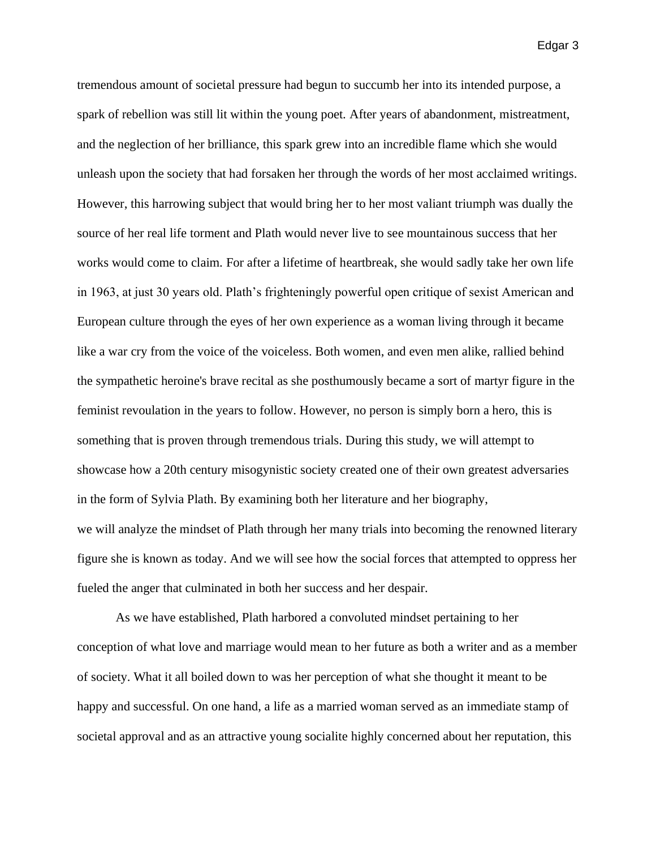tremendous amount of societal pressure had begun to succumb her into its intended purpose, a spark of rebellion was still lit within the young poet. After years of abandonment, mistreatment, and the neglection of her brilliance, this spark grew into an incredible flame which she would unleash upon the society that had forsaken her through the words of her most acclaimed writings. However, this harrowing subject that would bring her to her most valiant triumph was dually the source of her real life torment and Plath would never live to see mountainous success that her works would come to claim. For after a lifetime of heartbreak, she would sadly take her own life in 1963, at just 30 years old. Plath's frighteningly powerful open critique of sexist American and European culture through the eyes of her own experience as a woman living through it became like a war cry from the voice of the voiceless. Both women, and even men alike, rallied behind the sympathetic heroine's brave recital as she posthumously became a sort of martyr figure in the feminist revoulation in the years to follow. However, no person is simply born a hero, this is something that is proven through tremendous trials. During this study, we will attempt to showcase how a 20th century misogynistic society created one of their own greatest adversaries in the form of Sylvia Plath. By examining both her literature and her biography, we will analyze the mindset of Plath through her many trials into becoming the renowned literary figure she is known as today. And we will see how the social forces that attempted to oppress her fueled the anger that culminated in both her success and her despair.

As we have established, Plath harbored a convoluted mindset pertaining to her conception of what love and marriage would mean to her future as both a writer and as a member of society. What it all boiled down to was her perception of what she thought it meant to be happy and successful. On one hand, a life as a married woman served as an immediate stamp of societal approval and as an attractive young socialite highly concerned about her reputation, this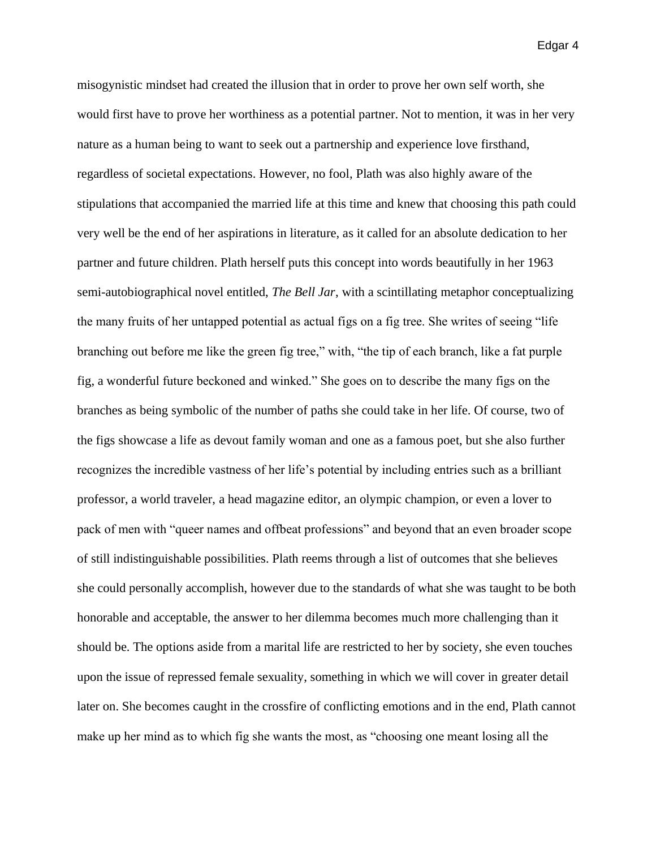misogynistic mindset had created the illusion that in order to prove her own self worth, she would first have to prove her worthiness as a potential partner. Not to mention, it was in her very nature as a human being to want to seek out a partnership and experience love firsthand, regardless of societal expectations. However, no fool, Plath was also highly aware of the stipulations that accompanied the married life at this time and knew that choosing this path could very well be the end of her aspirations in literature, as it called for an absolute dedication to her partner and future children. Plath herself puts this concept into words beautifully in her 1963 semi-autobiographical novel entitled, *The Bell Jar*, with a scintillating metaphor conceptualizing the many fruits of her untapped potential as actual figs on a fig tree. She writes of seeing "life branching out before me like the green fig tree," with, "the tip of each branch, like a fat purple fig, a wonderful future beckoned and winked." She goes on to describe the many figs on the branches as being symbolic of the number of paths she could take in her life. Of course, two of the figs showcase a life as devout family woman and one as a famous poet, but she also further recognizes the incredible vastness of her life's potential by including entries such as a brilliant professor, a world traveler, a head magazine editor, an olympic champion, or even a lover to pack of men with "queer names and offbeat professions" and beyond that an even broader scope of still indistinguishable possibilities. Plath reems through a list of outcomes that she believes she could personally accomplish, however due to the standards of what she was taught to be both honorable and acceptable, the answer to her dilemma becomes much more challenging than it should be. The options aside from a marital life are restricted to her by society, she even touches upon the issue of repressed female sexuality, something in which we will cover in greater detail later on. She becomes caught in the crossfire of conflicting emotions and in the end, Plath cannot make up her mind as to which fig she wants the most, as "choosing one meant losing all the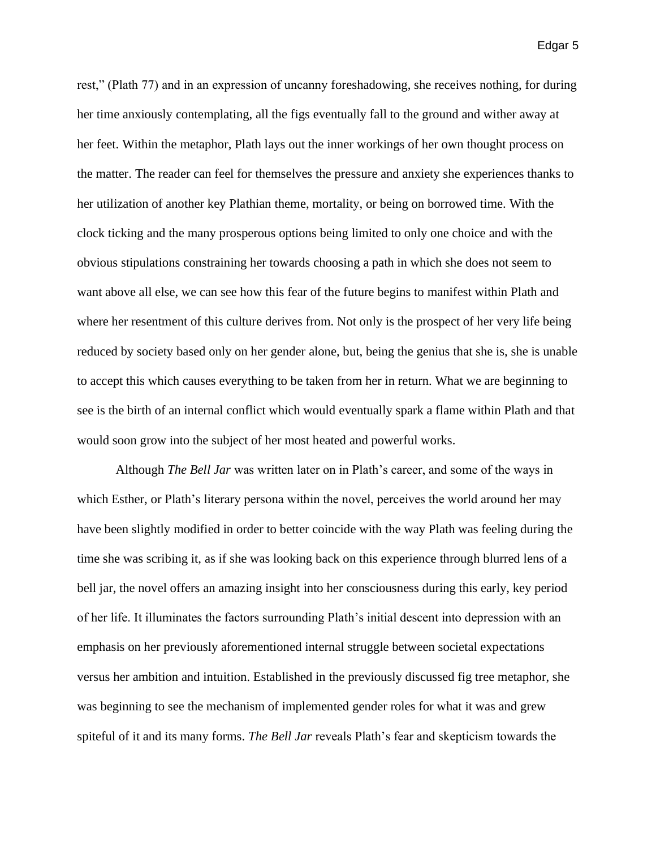rest," (Plath 77) and in an expression of uncanny foreshadowing, she receives nothing, for during her time anxiously contemplating, all the figs eventually fall to the ground and wither away at her feet. Within the metaphor, Plath lays out the inner workings of her own thought process on the matter. The reader can feel for themselves the pressure and anxiety she experiences thanks to her utilization of another key Plathian theme, mortality, or being on borrowed time. With the clock ticking and the many prosperous options being limited to only one choice and with the obvious stipulations constraining her towards choosing a path in which she does not seem to want above all else, we can see how this fear of the future begins to manifest within Plath and where her resentment of this culture derives from. Not only is the prospect of her very life being reduced by society based only on her gender alone, but, being the genius that she is, she is unable to accept this which causes everything to be taken from her in return. What we are beginning to see is the birth of an internal conflict which would eventually spark a flame within Plath and that would soon grow into the subject of her most heated and powerful works.

Although *The Bell Jar* was written later on in Plath's career, and some of the ways in which Esther, or Plath's literary persona within the novel, perceives the world around her may have been slightly modified in order to better coincide with the way Plath was feeling during the time she was scribing it, as if she was looking back on this experience through blurred lens of a bell jar, the novel offers an amazing insight into her consciousness during this early, key period of her life. It illuminates the factors surrounding Plath's initial descent into depression with an emphasis on her previously aforementioned internal struggle between societal expectations versus her ambition and intuition. Established in the previously discussed fig tree metaphor, she was beginning to see the mechanism of implemented gender roles for what it was and grew spiteful of it and its many forms. *The Bell Jar* reveals Plath's fear and skepticism towards the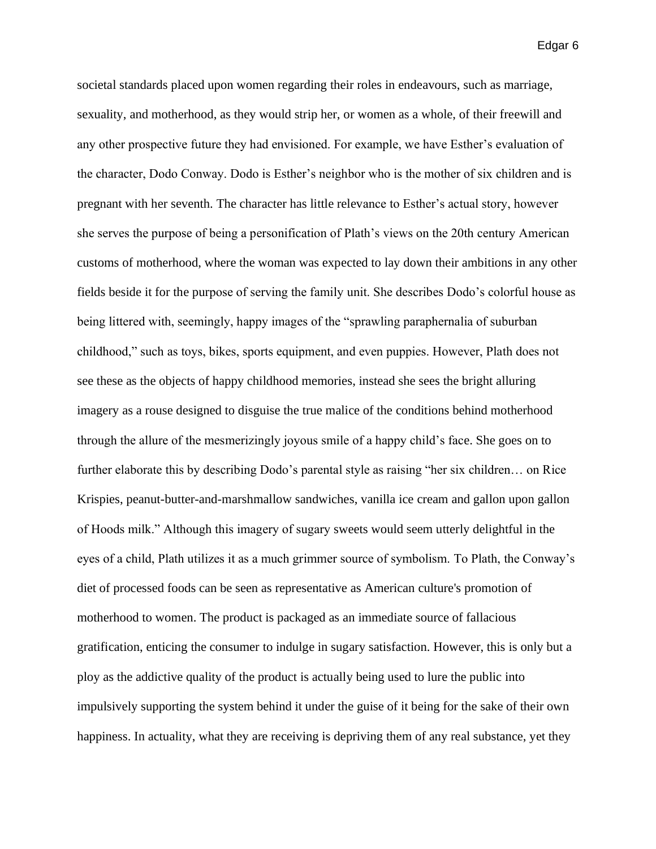societal standards placed upon women regarding their roles in endeavours, such as marriage, sexuality, and motherhood, as they would strip her, or women as a whole, of their freewill and any other prospective future they had envisioned. For example, we have Esther's evaluation of the character, Dodo Conway. Dodo is Esther's neighbor who is the mother of six children and is pregnant with her seventh. The character has little relevance to Esther's actual story, however she serves the purpose of being a personification of Plath's views on the 20th century American customs of motherhood, where the woman was expected to lay down their ambitions in any other fields beside it for the purpose of serving the family unit. She describes Dodo's colorful house as being littered with, seemingly, happy images of the "sprawling paraphernalia of suburban childhood," such as toys, bikes, sports equipment, and even puppies. However, Plath does not see these as the objects of happy childhood memories, instead she sees the bright alluring imagery as a rouse designed to disguise the true malice of the conditions behind motherhood through the allure of the mesmerizingly joyous smile of a happy child's face. She goes on to further elaborate this by describing Dodo's parental style as raising "her six children… on Rice Krispies, peanut-butter-and-marshmallow sandwiches, vanilla ice cream and gallon upon gallon of Hoods milk." Although this imagery of sugary sweets would seem utterly delightful in the eyes of a child, Plath utilizes it as a much grimmer source of symbolism. To Plath, the Conway's diet of processed foods can be seen as representative as American culture's promotion of motherhood to women. The product is packaged as an immediate source of fallacious gratification, enticing the consumer to indulge in sugary satisfaction. However, this is only but a ploy as the addictive quality of the product is actually being used to lure the public into impulsively supporting the system behind it under the guise of it being for the sake of their own happiness. In actuality, what they are receiving is depriving them of any real substance, yet they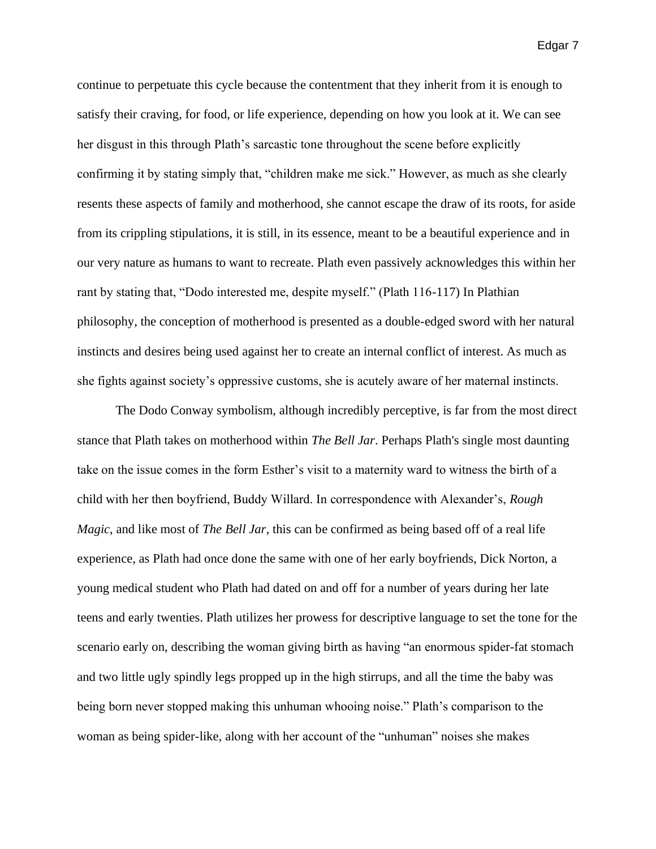continue to perpetuate this cycle because the contentment that they inherit from it is enough to satisfy their craving, for food, or life experience, depending on how you look at it. We can see her disgust in this through Plath's sarcastic tone throughout the scene before explicitly confirming it by stating simply that, "children make me sick." However, as much as she clearly resents these aspects of family and motherhood, she cannot escape the draw of its roots, for aside from its crippling stipulations, it is still, in its essence, meant to be a beautiful experience and in our very nature as humans to want to recreate. Plath even passively acknowledges this within her rant by stating that, "Dodo interested me, despite myself." (Plath 116-117) In Plathian philosophy, the conception of motherhood is presented as a double-edged sword with her natural instincts and desires being used against her to create an internal conflict of interest. As much as she fights against society's oppressive customs, she is acutely aware of her maternal instincts.

The Dodo Conway symbolism, although incredibly perceptive, is far from the most direct stance that Plath takes on motherhood within *The Bell Jar*. Perhaps Plath's single most daunting take on the issue comes in the form Esther's visit to a maternity ward to witness the birth of a child with her then boyfriend, Buddy Willard. In correspondence with Alexander's, *Rough Magic*, and like most of *The Bell Jar*, this can be confirmed as being based off of a real life experience, as Plath had once done the same with one of her early boyfriends, Dick Norton, a young medical student who Plath had dated on and off for a number of years during her late teens and early twenties. Plath utilizes her prowess for descriptive language to set the tone for the scenario early on, describing the woman giving birth as having "an enormous spider-fat stomach and two little ugly spindly legs propped up in the high stirrups, and all the time the baby was being born never stopped making this unhuman whooing noise." Plath's comparison to the woman as being spider-like, along with her account of the "unhuman" noises she makes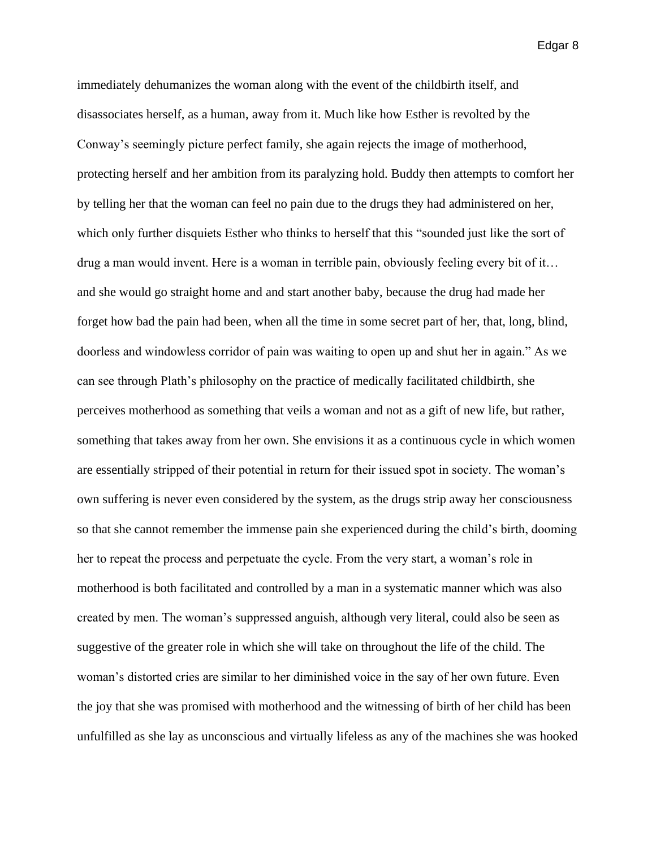immediately dehumanizes the woman along with the event of the childbirth itself, and disassociates herself, as a human, away from it. Much like how Esther is revolted by the Conway's seemingly picture perfect family, she again rejects the image of motherhood, protecting herself and her ambition from its paralyzing hold. Buddy then attempts to comfort her by telling her that the woman can feel no pain due to the drugs they had administered on her, which only further disquiets Esther who thinks to herself that this "sounded just like the sort of drug a man would invent. Here is a woman in terrible pain, obviously feeling every bit of it… and she would go straight home and and start another baby, because the drug had made her forget how bad the pain had been, when all the time in some secret part of her, that, long, blind, doorless and windowless corridor of pain was waiting to open up and shut her in again." As we can see through Plath's philosophy on the practice of medically facilitated childbirth, she perceives motherhood as something that veils a woman and not as a gift of new life, but rather, something that takes away from her own. She envisions it as a continuous cycle in which women are essentially stripped of their potential in return for their issued spot in society. The woman's own suffering is never even considered by the system, as the drugs strip away her consciousness so that she cannot remember the immense pain she experienced during the child's birth, dooming her to repeat the process and perpetuate the cycle. From the very start, a woman's role in motherhood is both facilitated and controlled by a man in a systematic manner which was also created by men. The woman's suppressed anguish, although very literal, could also be seen as suggestive of the greater role in which she will take on throughout the life of the child. The woman's distorted cries are similar to her diminished voice in the say of her own future. Even the joy that she was promised with motherhood and the witnessing of birth of her child has been unfulfilled as she lay as unconscious and virtually lifeless as any of the machines she was hooked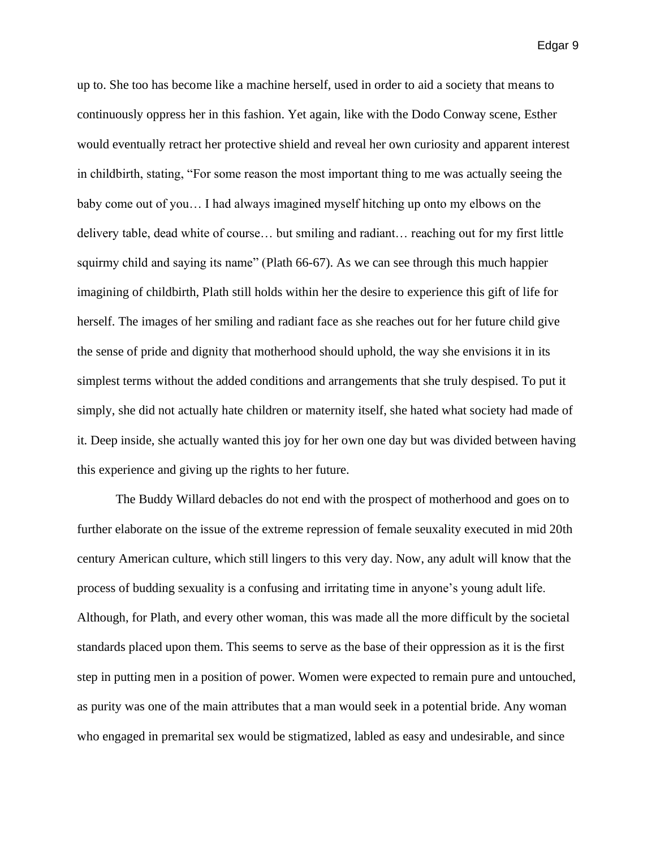up to. She too has become like a machine herself, used in order to aid a society that means to continuously oppress her in this fashion. Yet again, like with the Dodo Conway scene, Esther would eventually retract her protective shield and reveal her own curiosity and apparent interest in childbirth, stating, "For some reason the most important thing to me was actually seeing the baby come out of you… I had always imagined myself hitching up onto my elbows on the delivery table, dead white of course… but smiling and radiant… reaching out for my first little squirmy child and saying its name" (Plath 66-67). As we can see through this much happier imagining of childbirth, Plath still holds within her the desire to experience this gift of life for herself. The images of her smiling and radiant face as she reaches out for her future child give the sense of pride and dignity that motherhood should uphold, the way she envisions it in its simplest terms without the added conditions and arrangements that she truly despised. To put it simply, she did not actually hate children or maternity itself, she hated what society had made of it. Deep inside, she actually wanted this joy for her own one day but was divided between having this experience and giving up the rights to her future.

The Buddy Willard debacles do not end with the prospect of motherhood and goes on to further elaborate on the issue of the extreme repression of female seuxality executed in mid 20th century American culture, which still lingers to this very day. Now, any adult will know that the process of budding sexuality is a confusing and irritating time in anyone's young adult life. Although, for Plath, and every other woman, this was made all the more difficult by the societal standards placed upon them. This seems to serve as the base of their oppression as it is the first step in putting men in a position of power. Women were expected to remain pure and untouched, as purity was one of the main attributes that a man would seek in a potential bride. Any woman who engaged in premarital sex would be stigmatized, labled as easy and undesirable, and since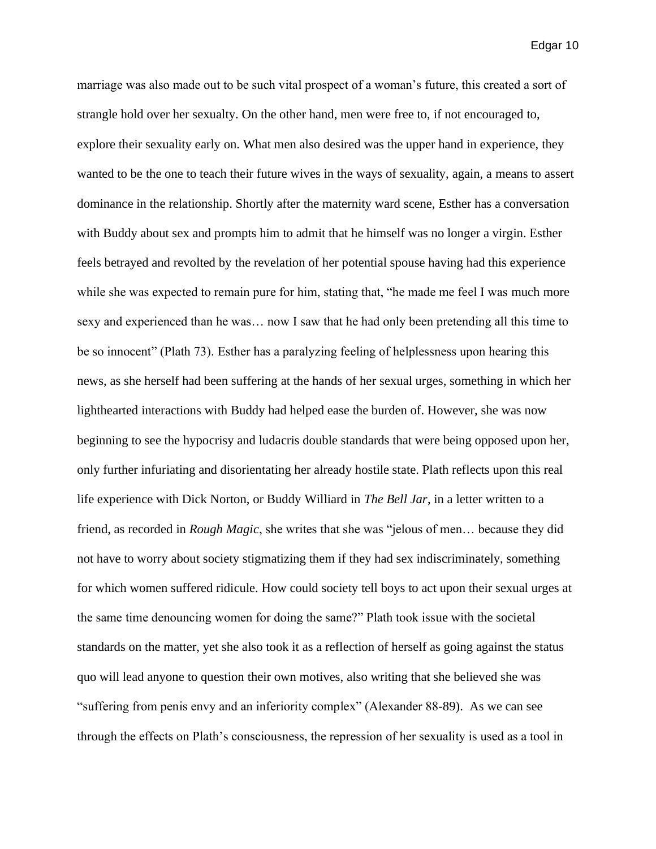marriage was also made out to be such vital prospect of a woman's future, this created a sort of strangle hold over her sexualty. On the other hand, men were free to, if not encouraged to, explore their sexuality early on. What men also desired was the upper hand in experience, they wanted to be the one to teach their future wives in the ways of sexuality, again, a means to assert dominance in the relationship. Shortly after the maternity ward scene, Esther has a conversation with Buddy about sex and prompts him to admit that he himself was no longer a virgin. Esther feels betrayed and revolted by the revelation of her potential spouse having had this experience while she was expected to remain pure for him, stating that, "he made me feel I was much more sexy and experienced than he was… now I saw that he had only been pretending all this time to be so innocent" (Plath 73). Esther has a paralyzing feeling of helplessness upon hearing this news, as she herself had been suffering at the hands of her sexual urges, something in which her lighthearted interactions with Buddy had helped ease the burden of. However, she was now beginning to see the hypocrisy and ludacris double standards that were being opposed upon her, only further infuriating and disorientating her already hostile state. Plath reflects upon this real life experience with Dick Norton, or Buddy Williard in *The Bell Jar*, in a letter written to a friend, as recorded in *Rough Magic*, she writes that she was "jelous of men… because they did not have to worry about society stigmatizing them if they had sex indiscriminately, something for which women suffered ridicule. How could society tell boys to act upon their sexual urges at the same time denouncing women for doing the same?" Plath took issue with the societal standards on the matter, yet she also took it as a reflection of herself as going against the status quo will lead anyone to question their own motives, also writing that she believed she was "suffering from penis envy and an inferiority complex" (Alexander 88-89). As we can see through the effects on Plath's consciousness, the repression of her sexuality is used as a tool in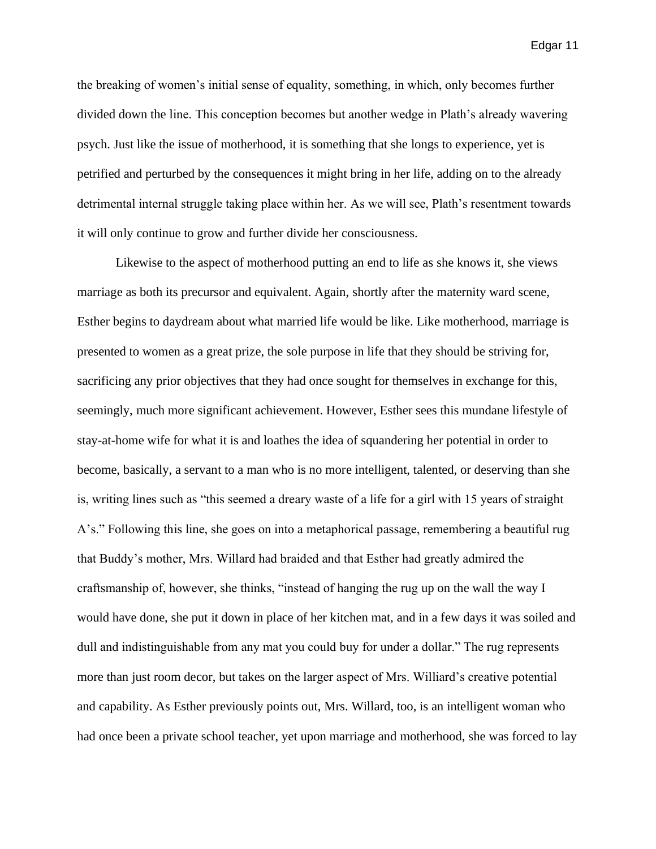the breaking of women's initial sense of equality, something, in which, only becomes further divided down the line. This conception becomes but another wedge in Plath's already wavering psych. Just like the issue of motherhood, it is something that she longs to experience, yet is petrified and perturbed by the consequences it might bring in her life, adding on to the already detrimental internal struggle taking place within her. As we will see, Plath's resentment towards it will only continue to grow and further divide her consciousness.

Likewise to the aspect of motherhood putting an end to life as she knows it, she views marriage as both its precursor and equivalent. Again, shortly after the maternity ward scene, Esther begins to daydream about what married life would be like. Like motherhood, marriage is presented to women as a great prize, the sole purpose in life that they should be striving for, sacrificing any prior objectives that they had once sought for themselves in exchange for this, seemingly, much more significant achievement. However, Esther sees this mundane lifestyle of stay-at-home wife for what it is and loathes the idea of squandering her potential in order to become, basically, a servant to a man who is no more intelligent, talented, or deserving than she is, writing lines such as "this seemed a dreary waste of a life for a girl with 15 years of straight A's." Following this line, she goes on into a metaphorical passage, remembering a beautiful rug that Buddy's mother, Mrs. Willard had braided and that Esther had greatly admired the craftsmanship of, however, she thinks, "instead of hanging the rug up on the wall the way I would have done, she put it down in place of her kitchen mat, and in a few days it was soiled and dull and indistinguishable from any mat you could buy for under a dollar." The rug represents more than just room decor, but takes on the larger aspect of Mrs. Williard's creative potential and capability. As Esther previously points out, Mrs. Willard, too, is an intelligent woman who had once been a private school teacher, yet upon marriage and motherhood, she was forced to lay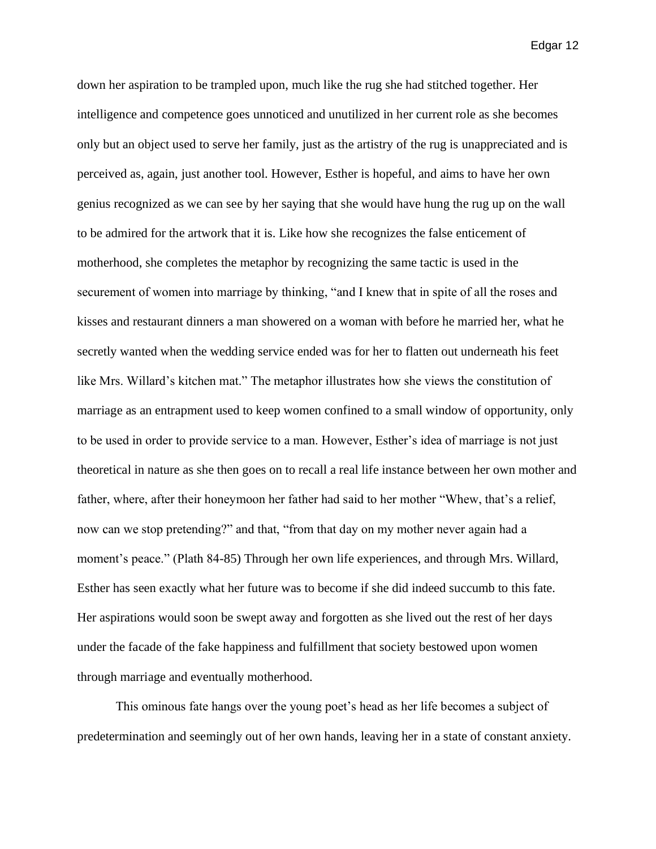down her aspiration to be trampled upon, much like the rug she had stitched together. Her intelligence and competence goes unnoticed and unutilized in her current role as she becomes only but an object used to serve her family, just as the artistry of the rug is unappreciated and is perceived as, again, just another tool. However, Esther is hopeful, and aims to have her own genius recognized as we can see by her saying that she would have hung the rug up on the wall to be admired for the artwork that it is. Like how she recognizes the false enticement of motherhood, she completes the metaphor by recognizing the same tactic is used in the securement of women into marriage by thinking, "and I knew that in spite of all the roses and kisses and restaurant dinners a man showered on a woman with before he married her, what he secretly wanted when the wedding service ended was for her to flatten out underneath his feet like Mrs. Willard's kitchen mat." The metaphor illustrates how she views the constitution of marriage as an entrapment used to keep women confined to a small window of opportunity, only to be used in order to provide service to a man. However, Esther's idea of marriage is not just theoretical in nature as she then goes on to recall a real life instance between her own mother and father, where, after their honeymoon her father had said to her mother "Whew, that's a relief, now can we stop pretending?" and that, "from that day on my mother never again had a moment's peace." (Plath 84-85) Through her own life experiences, and through Mrs. Willard, Esther has seen exactly what her future was to become if she did indeed succumb to this fate. Her aspirations would soon be swept away and forgotten as she lived out the rest of her days under the facade of the fake happiness and fulfillment that society bestowed upon women through marriage and eventually motherhood.

This ominous fate hangs over the young poet's head as her life becomes a subject of predetermination and seemingly out of her own hands, leaving her in a state of constant anxiety.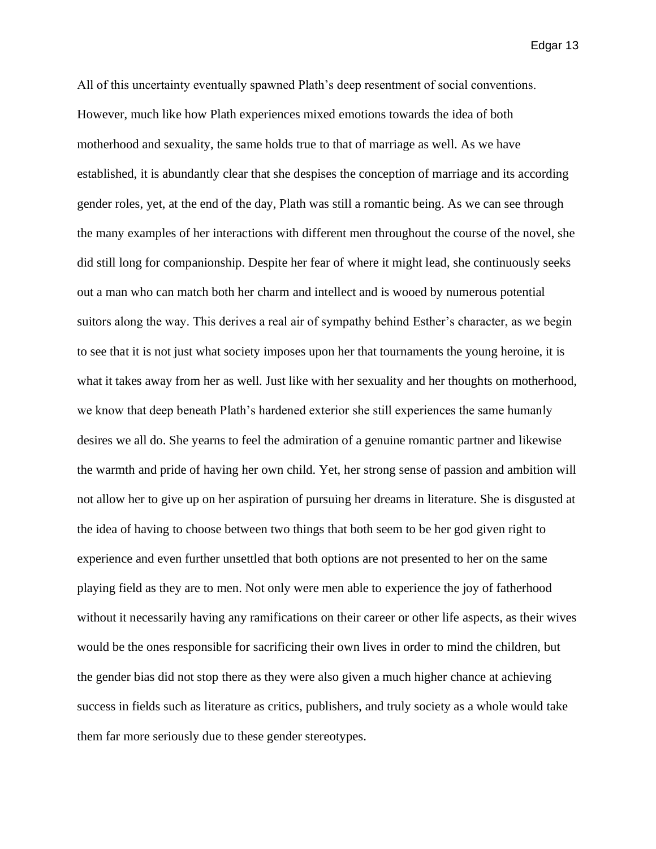All of this uncertainty eventually spawned Plath's deep resentment of social conventions. However, much like how Plath experiences mixed emotions towards the idea of both motherhood and sexuality, the same holds true to that of marriage as well. As we have established, it is abundantly clear that she despises the conception of marriage and its according gender roles, yet, at the end of the day, Plath was still a romantic being. As we can see through the many examples of her interactions with different men throughout the course of the novel, she did still long for companionship. Despite her fear of where it might lead, she continuously seeks out a man who can match both her charm and intellect and is wooed by numerous potential suitors along the way. This derives a real air of sympathy behind Esther's character, as we begin to see that it is not just what society imposes upon her that tournaments the young heroine, it is what it takes away from her as well. Just like with her sexuality and her thoughts on motherhood, we know that deep beneath Plath's hardened exterior she still experiences the same humanly desires we all do. She yearns to feel the admiration of a genuine romantic partner and likewise the warmth and pride of having her own child. Yet, her strong sense of passion and ambition will not allow her to give up on her aspiration of pursuing her dreams in literature. She is disgusted at the idea of having to choose between two things that both seem to be her god given right to experience and even further unsettled that both options are not presented to her on the same playing field as they are to men. Not only were men able to experience the joy of fatherhood without it necessarily having any ramifications on their career or other life aspects, as their wives would be the ones responsible for sacrificing their own lives in order to mind the children, but the gender bias did not stop there as they were also given a much higher chance at achieving success in fields such as literature as critics, publishers, and truly society as a whole would take them far more seriously due to these gender stereotypes.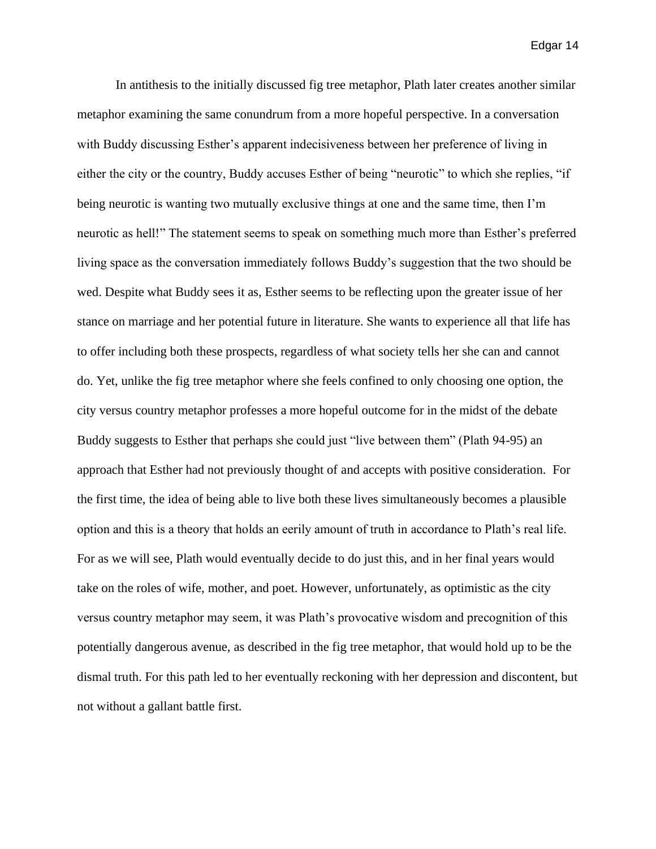In antithesis to the initially discussed fig tree metaphor, Plath later creates another similar metaphor examining the same conundrum from a more hopeful perspective. In a conversation with Buddy discussing Esther's apparent indecisiveness between her preference of living in either the city or the country, Buddy accuses Esther of being "neurotic" to which she replies, "if being neurotic is wanting two mutually exclusive things at one and the same time, then I'm neurotic as hell!" The statement seems to speak on something much more than Esther's preferred living space as the conversation immediately follows Buddy's suggestion that the two should be wed. Despite what Buddy sees it as, Esther seems to be reflecting upon the greater issue of her stance on marriage and her potential future in literature. She wants to experience all that life has to offer including both these prospects, regardless of what society tells her she can and cannot do. Yet, unlike the fig tree metaphor where she feels confined to only choosing one option, the city versus country metaphor professes a more hopeful outcome for in the midst of the debate Buddy suggests to Esther that perhaps she could just "live between them" (Plath 94-95) an approach that Esther had not previously thought of and accepts with positive consideration. For the first time, the idea of being able to live both these lives simultaneously becomes a plausible option and this is a theory that holds an eerily amount of truth in accordance to Plath's real life. For as we will see, Plath would eventually decide to do just this, and in her final years would take on the roles of wife, mother, and poet. However, unfortunately, as optimistic as the city versus country metaphor may seem, it was Plath's provocative wisdom and precognition of this potentially dangerous avenue, as described in the fig tree metaphor, that would hold up to be the dismal truth. For this path led to her eventually reckoning with her depression and discontent, but not without a gallant battle first.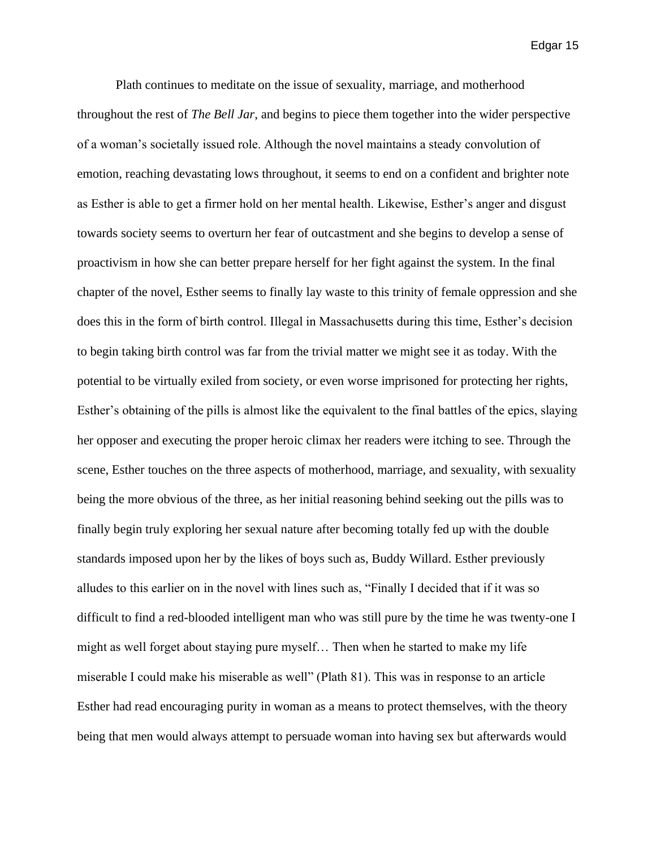Plath continues to meditate on the issue of sexuality, marriage, and motherhood throughout the rest of *The Bell Jar*, and begins to piece them together into the wider perspective of a woman's societally issued role. Although the novel maintains a steady convolution of emotion, reaching devastating lows throughout, it seems to end on a confident and brighter note as Esther is able to get a firmer hold on her mental health. Likewise, Esther's anger and disgust towards society seems to overturn her fear of outcastment and she begins to develop a sense of proactivism in how she can better prepare herself for her fight against the system. In the final chapter of the novel, Esther seems to finally lay waste to this trinity of female oppression and she does this in the form of birth control. Illegal in Massachusetts during this time, Esther's decision to begin taking birth control was far from the trivial matter we might see it as today. With the potential to be virtually exiled from society, or even worse imprisoned for protecting her rights, Esther's obtaining of the pills is almost like the equivalent to the final battles of the epics, slaying her opposer and executing the proper heroic climax her readers were itching to see. Through the scene, Esther touches on the three aspects of motherhood, marriage, and sexuality, with sexuality being the more obvious of the three, as her initial reasoning behind seeking out the pills was to finally begin truly exploring her sexual nature after becoming totally fed up with the double standards imposed upon her by the likes of boys such as, Buddy Willard. Esther previously alludes to this earlier on in the novel with lines such as, "Finally I decided that if it was so difficult to find a red-blooded intelligent man who was still pure by the time he was twenty-one I might as well forget about staying pure myself… Then when he started to make my life miserable I could make his miserable as well" (Plath 81). This was in response to an article Esther had read encouraging purity in woman as a means to protect themselves, with the theory being that men would always attempt to persuade woman into having sex but afterwards would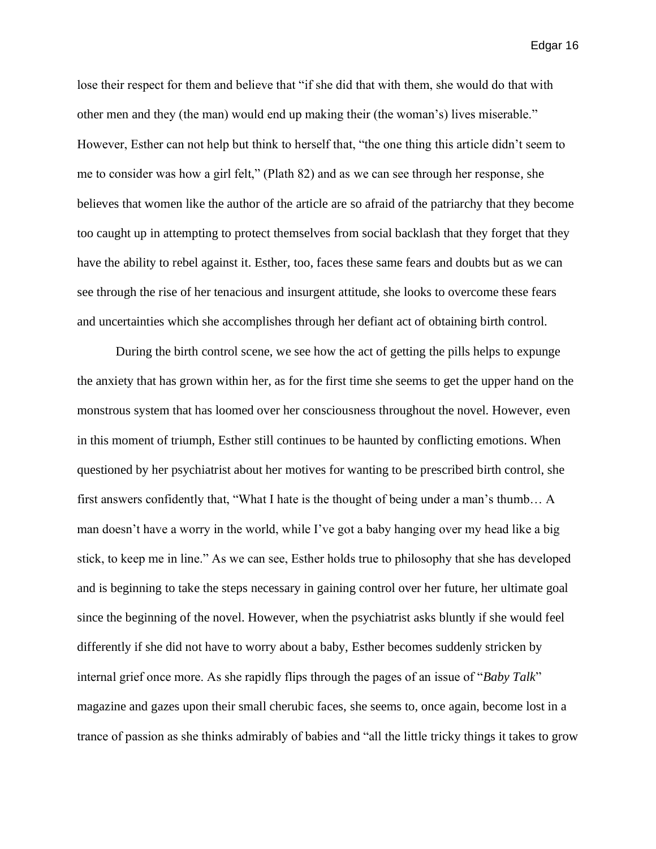lose their respect for them and believe that "if she did that with them, she would do that with other men and they (the man) would end up making their (the woman's) lives miserable." However, Esther can not help but think to herself that, "the one thing this article didn't seem to me to consider was how a girl felt," (Plath 82) and as we can see through her response, she believes that women like the author of the article are so afraid of the patriarchy that they become too caught up in attempting to protect themselves from social backlash that they forget that they have the ability to rebel against it. Esther, too, faces these same fears and doubts but as we can see through the rise of her tenacious and insurgent attitude, she looks to overcome these fears and uncertainties which she accomplishes through her defiant act of obtaining birth control.

During the birth control scene, we see how the act of getting the pills helps to expunge the anxiety that has grown within her, as for the first time she seems to get the upper hand on the monstrous system that has loomed over her consciousness throughout the novel. However, even in this moment of triumph, Esther still continues to be haunted by conflicting emotions. When questioned by her psychiatrist about her motives for wanting to be prescribed birth control, she first answers confidently that, "What I hate is the thought of being under a man's thumb… A man doesn't have a worry in the world, while I've got a baby hanging over my head like a big stick, to keep me in line." As we can see, Esther holds true to philosophy that she has developed and is beginning to take the steps necessary in gaining control over her future, her ultimate goal since the beginning of the novel. However, when the psychiatrist asks bluntly if she would feel differently if she did not have to worry about a baby, Esther becomes suddenly stricken by internal grief once more. As she rapidly flips through the pages of an issue of "*Baby Talk*" magazine and gazes upon their small cherubic faces, she seems to, once again, become lost in a trance of passion as she thinks admirably of babies and "all the little tricky things it takes to grow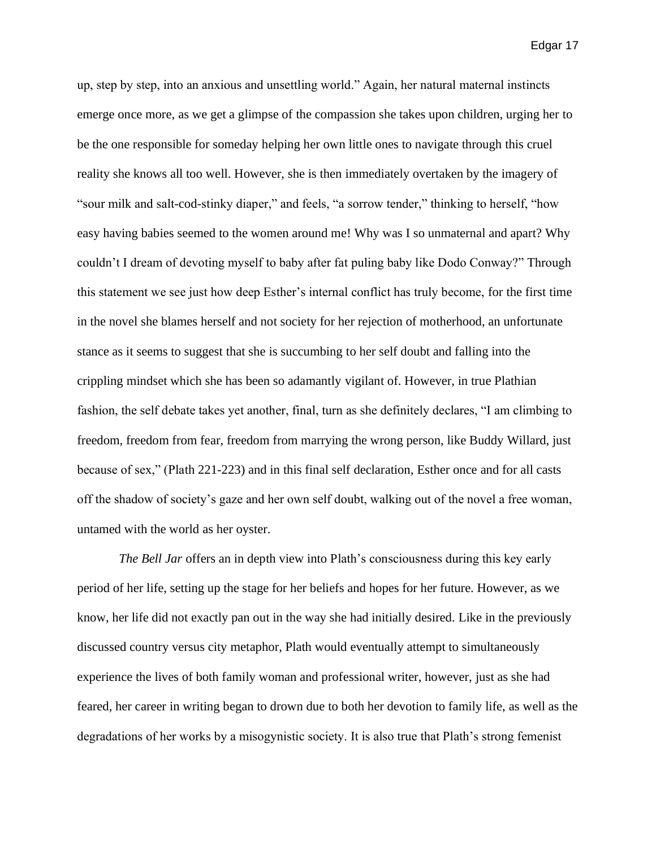up, step by step, into an anxious and unsettling world." Again, her natural maternal instincts emerge once more, as we get a glimpse of the compassion she takes upon children, urging her to be the one responsible for someday helping her own little ones to navigate through this cruel reality she knows all too well. However, she is then immediately overtaken by the imagery of "sour milk and salt-cod-stinky diaper," and feels, "a sorrow tender," thinking to herself, "how easy having babies seemed to the women around me! Why was I so unmaternal and apart? Why couldn't I dream of devoting myself to baby after fat puling baby like Dodo Conway?" Through this statement we see just how deep Esther's internal conflict has truly become, for the first time in the novel she blames herself and not society for her rejection of motherhood, an unfortunate stance as it seems to suggest that she is succumbing to her self doubt and falling into the crippling mindset which she has been so adamantly vigilant of. However, in true Plathian fashion, the self debate takes yet another, final, turn as she definitely declares, "I am climbing to freedom, freedom from fear, freedom from marrying the wrong person, like Buddy Willard, just because of sex," (Plath 221-223) and in this final self declaration, Esther once and for all casts off the shadow of society's gaze and her own self doubt, walking out of the novel a free woman, untamed with the world as her oyster.

*The Bell Jar* offers an in depth view into Plath's consciousness during this key early period of her life, setting up the stage for her beliefs and hopes for her future. However, as we know, her life did not exactly pan out in the way she had initially desired. Like in the previously discussed country versus city metaphor, Plath would eventually attempt to simultaneously experience the lives of both family woman and professional writer, however, just as she had feared, her career in writing began to drown due to both her devotion to family life, as well as the degradations of her works by a misogynistic society. It is also true that Plath's strong femenist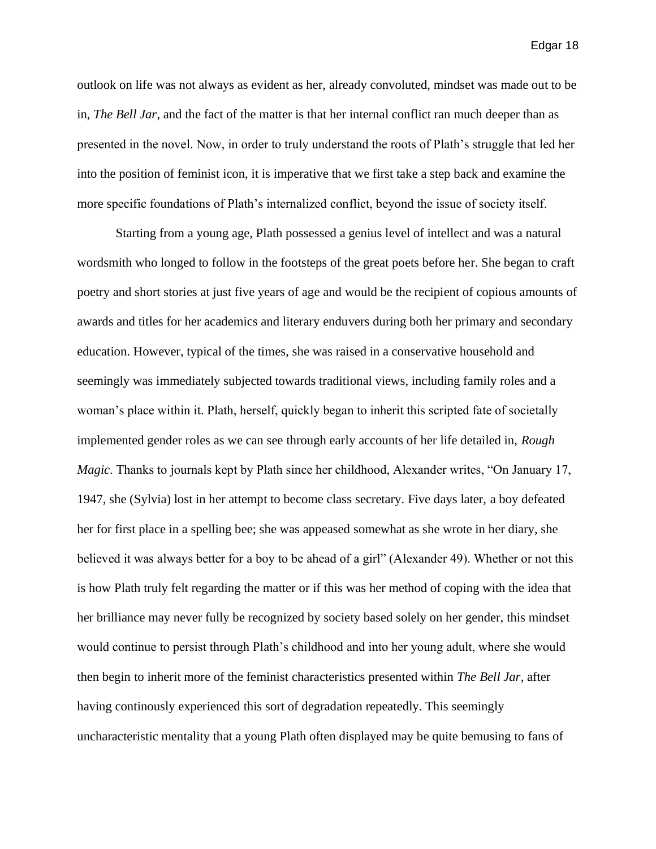outlook on life was not always as evident as her, already convoluted, mindset was made out to be in, *The Bell Jar*, and the fact of the matter is that her internal conflict ran much deeper than as presented in the novel. Now, in order to truly understand the roots of Plath's struggle that led her into the position of feminist icon, it is imperative that we first take a step back and examine the more specific foundations of Plath's internalized conflict, beyond the issue of society itself.

Starting from a young age, Plath possessed a genius level of intellect and was a natural wordsmith who longed to follow in the footsteps of the great poets before her. She began to craft poetry and short stories at just five years of age and would be the recipient of copious amounts of awards and titles for her academics and literary enduvers during both her primary and secondary education. However, typical of the times, she was raised in a conservative household and seemingly was immediately subjected towards traditional views, including family roles and a woman's place within it. Plath, herself, quickly began to inherit this scripted fate of societally implemented gender roles as we can see through early accounts of her life detailed in, *Rough Magic*. Thanks to journals kept by Plath since her childhood, Alexander writes, "On January 17, 1947, she (Sylvia) lost in her attempt to become class secretary. Five days later, a boy defeated her for first place in a spelling bee; she was appeased somewhat as she wrote in her diary, she believed it was always better for a boy to be ahead of a girl" (Alexander 49). Whether or not this is how Plath truly felt regarding the matter or if this was her method of coping with the idea that her brilliance may never fully be recognized by society based solely on her gender, this mindset would continue to persist through Plath's childhood and into her young adult, where she would then begin to inherit more of the feminist characteristics presented within *The Bell Jar*, after having continously experienced this sort of degradation repeatedly. This seemingly uncharacteristic mentality that a young Plath often displayed may be quite bemusing to fans of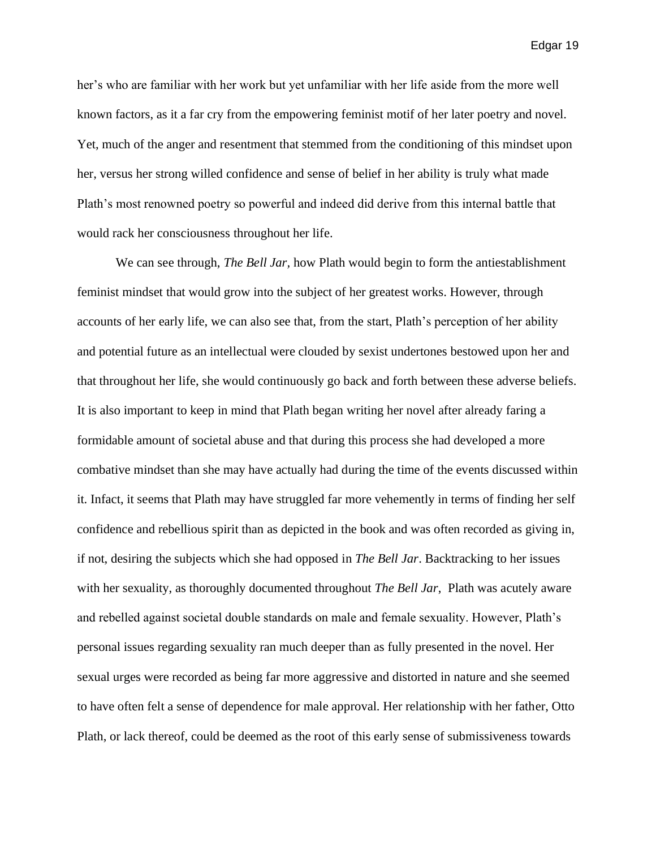her's who are familiar with her work but yet unfamiliar with her life aside from the more well known factors, as it a far cry from the empowering feminist motif of her later poetry and novel. Yet, much of the anger and resentment that stemmed from the conditioning of this mindset upon her, versus her strong willed confidence and sense of belief in her ability is truly what made Plath's most renowned poetry so powerful and indeed did derive from this internal battle that would rack her consciousness throughout her life.

We can see through, *The Bell Jar,* how Plath would begin to form the antiestablishment feminist mindset that would grow into the subject of her greatest works. However, through accounts of her early life, we can also see that, from the start, Plath's perception of her ability and potential future as an intellectual were clouded by sexist undertones bestowed upon her and that throughout her life, she would continuously go back and forth between these adverse beliefs. It is also important to keep in mind that Plath began writing her novel after already faring a formidable amount of societal abuse and that during this process she had developed a more combative mindset than she may have actually had during the time of the events discussed within it. Infact, it seems that Plath may have struggled far more vehemently in terms of finding her self confidence and rebellious spirit than as depicted in the book and was often recorded as giving in, if not, desiring the subjects which she had opposed in *The Bell Jar*. Backtracking to her issues with her sexuality, as thoroughly documented throughout *The Bell Jar*, Plath was acutely aware and rebelled against societal double standards on male and female sexuality. However, Plath's personal issues regarding sexuality ran much deeper than as fully presented in the novel. Her sexual urges were recorded as being far more aggressive and distorted in nature and she seemed to have often felt a sense of dependence for male approval. Her relationship with her father, Otto Plath, or lack thereof, could be deemed as the root of this early sense of submissiveness towards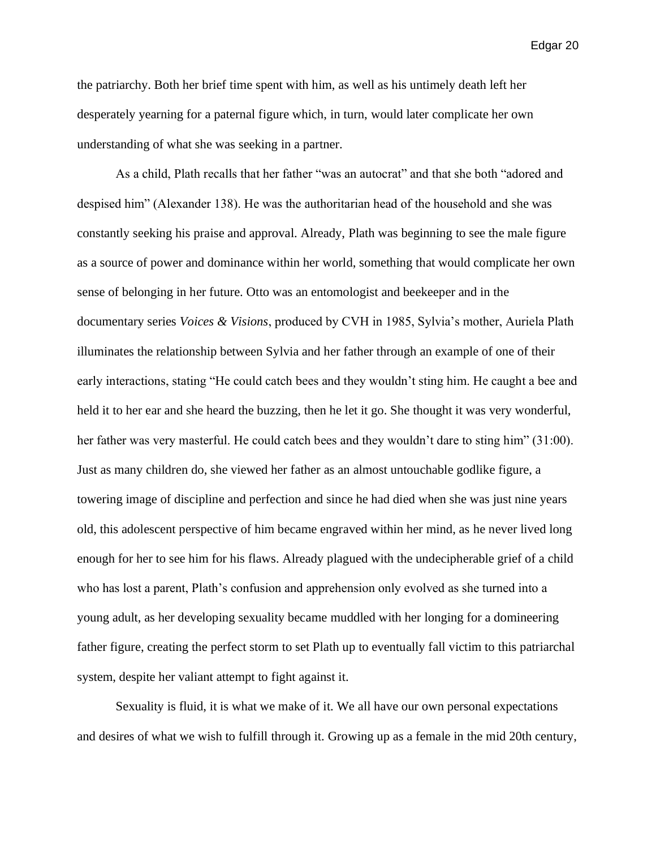the patriarchy. Both her brief time spent with him, as well as his untimely death left her desperately yearning for a paternal figure which, in turn, would later complicate her own understanding of what she was seeking in a partner.

As a child, Plath recalls that her father "was an autocrat" and that she both "adored and despised him" (Alexander 138). He was the authoritarian head of the household and she was constantly seeking his praise and approval. Already, Plath was beginning to see the male figure as a source of power and dominance within her world, something that would complicate her own sense of belonging in her future. Otto was an entomologist and beekeeper and in the documentary series *Voices & Visions*, produced by CVH in 1985, Sylvia's mother, Auriela Plath illuminates the relationship between Sylvia and her father through an example of one of their early interactions, stating "He could catch bees and they wouldn't sting him. He caught a bee and held it to her ear and she heard the buzzing, then he let it go. She thought it was very wonderful, her father was very masterful. He could catch bees and they wouldn't dare to sting him" (31:00). Just as many children do, she viewed her father as an almost untouchable godlike figure, a towering image of discipline and perfection and since he had died when she was just nine years old, this adolescent perspective of him became engraved within her mind, as he never lived long enough for her to see him for his flaws. Already plagued with the undecipherable grief of a child who has lost a parent, Plath's confusion and apprehension only evolved as she turned into a young adult, as her developing sexuality became muddled with her longing for a domineering father figure, creating the perfect storm to set Plath up to eventually fall victim to this patriarchal system, despite her valiant attempt to fight against it.

Sexuality is fluid, it is what we make of it. We all have our own personal expectations and desires of what we wish to fulfill through it. Growing up as a female in the mid 20th century,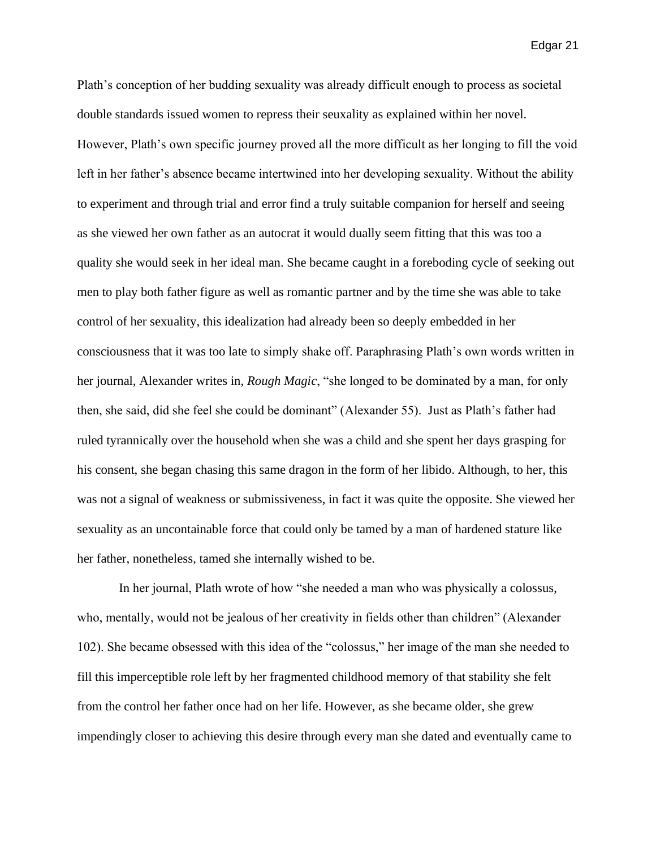Plath's conception of her budding sexuality was already difficult enough to process as societal double standards issued women to repress their seuxality as explained within her novel. However, Plath's own specific journey proved all the more difficult as her longing to fill the void left in her father's absence became intertwined into her developing sexuality. Without the ability to experiment and through trial and error find a truly suitable companion for herself and seeing as she viewed her own father as an autocrat it would dually seem fitting that this was too a quality she would seek in her ideal man. She became caught in a foreboding cycle of seeking out men to play both father figure as well as romantic partner and by the time she was able to take control of her sexuality, this idealization had already been so deeply embedded in her consciousness that it was too late to simply shake off. Paraphrasing Plath's own words written in her journal, Alexander writes in, *Rough Magic*, "she longed to be dominated by a man, for only then, she said, did she feel she could be dominant" (Alexander 55). Just as Plath's father had ruled tyrannically over the household when she was a child and she spent her days grasping for his consent, she began chasing this same dragon in the form of her libido. Although, to her, this was not a signal of weakness or submissiveness, in fact it was quite the opposite. She viewed her sexuality as an uncontainable force that could only be tamed by a man of hardened stature like her father, nonetheless, tamed she internally wished to be.

In her journal, Plath wrote of how "she needed a man who was physically a colossus, who, mentally, would not be jealous of her creativity in fields other than children" (Alexander 102). She became obsessed with this idea of the "colossus," her image of the man she needed to fill this imperceptible role left by her fragmented childhood memory of that stability she felt from the control her father once had on her life. However, as she became older, she grew impendingly closer to achieving this desire through every man she dated and eventually came to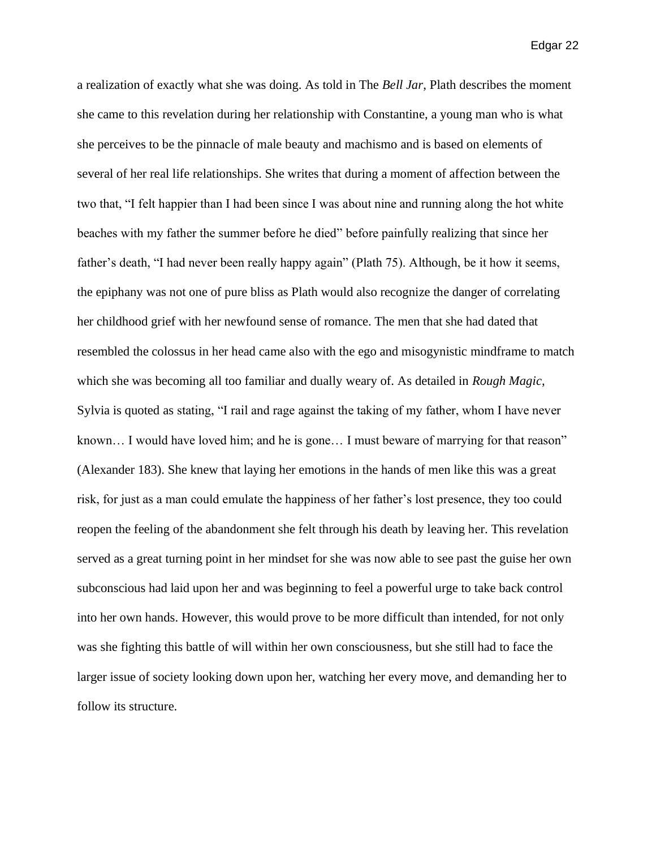a realization of exactly what she was doing. As told in The *Bell Jar*, Plath describes the moment she came to this revelation during her relationship with Constantine, a young man who is what she perceives to be the pinnacle of male beauty and machismo and is based on elements of several of her real life relationships. She writes that during a moment of affection between the two that, "I felt happier than I had been since I was about nine and running along the hot white beaches with my father the summer before he died" before painfully realizing that since her father's death, "I had never been really happy again" (Plath 75). Although, be it how it seems, the epiphany was not one of pure bliss as Plath would also recognize the danger of correlating her childhood grief with her newfound sense of romance. The men that she had dated that resembled the colossus in her head came also with the ego and misogynistic mindframe to match which she was becoming all too familiar and dually weary of. As detailed in *Rough Magic*, Sylvia is quoted as stating, "I rail and rage against the taking of my father, whom I have never known... I would have loved him; and he is gone... I must beware of marrying for that reason" (Alexander 183). She knew that laying her emotions in the hands of men like this was a great risk, for just as a man could emulate the happiness of her father's lost presence, they too could reopen the feeling of the abandonment she felt through his death by leaving her. This revelation served as a great turning point in her mindset for she was now able to see past the guise her own subconscious had laid upon her and was beginning to feel a powerful urge to take back control into her own hands. However, this would prove to be more difficult than intended, for not only was she fighting this battle of will within her own consciousness, but she still had to face the larger issue of society looking down upon her, watching her every move, and demanding her to follow its structure.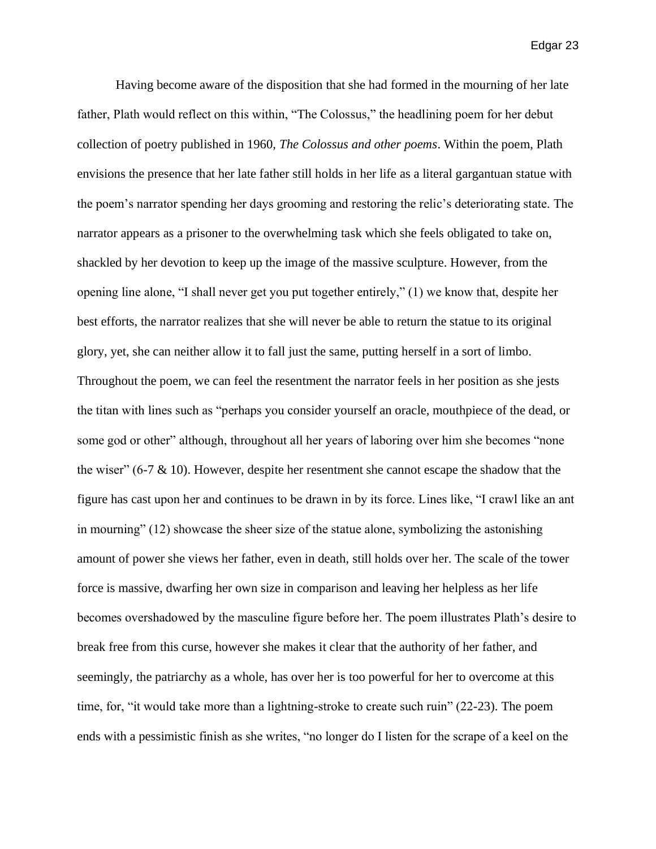Having become aware of the disposition that she had formed in the mourning of her late father, Plath would reflect on this within, "The Colossus," the headlining poem for her debut collection of poetry published in 1960, *The Colossus and other poems*. Within the poem, Plath envisions the presence that her late father still holds in her life as a literal gargantuan statue with the poem's narrator spending her days grooming and restoring the relic's deteriorating state. The narrator appears as a prisoner to the overwhelming task which she feels obligated to take on, shackled by her devotion to keep up the image of the massive sculpture. However, from the opening line alone, "I shall never get you put together entirely," (1) we know that, despite her best efforts, the narrator realizes that she will never be able to return the statue to its original glory, yet, she can neither allow it to fall just the same, putting herself in a sort of limbo. Throughout the poem, we can feel the resentment the narrator feels in her position as she jests the titan with lines such as "perhaps you consider yourself an oracle, mouthpiece of the dead, or some god or other" although, throughout all her years of laboring over him she becomes "none the wiser" (6-7  $\&$  10). However, despite her resentment she cannot escape the shadow that the figure has cast upon her and continues to be drawn in by its force. Lines like, "I crawl like an ant in mourning" (12) showcase the sheer size of the statue alone, symbolizing the astonishing amount of power she views her father, even in death, still holds over her. The scale of the tower force is massive, dwarfing her own size in comparison and leaving her helpless as her life becomes overshadowed by the masculine figure before her. The poem illustrates Plath's desire to break free from this curse, however she makes it clear that the authority of her father, and seemingly, the patriarchy as a whole, has over her is too powerful for her to overcome at this time, for, "it would take more than a lightning-stroke to create such ruin" (22-23). The poem ends with a pessimistic finish as she writes, "no longer do I listen for the scrape of a keel on the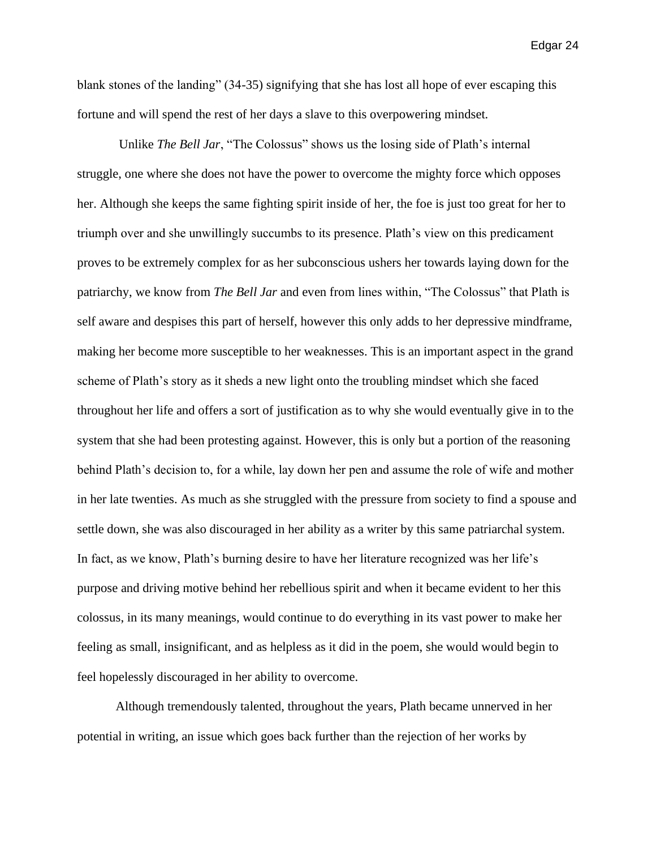blank stones of the landing" (34-35) signifying that she has lost all hope of ever escaping this fortune and will spend the rest of her days a slave to this overpowering mindset.

Unlike *The Bell Jar*, "The Colossus" shows us the losing side of Plath's internal struggle, one where she does not have the power to overcome the mighty force which opposes her. Although she keeps the same fighting spirit inside of her, the foe is just too great for her to triumph over and she unwillingly succumbs to its presence. Plath's view on this predicament proves to be extremely complex for as her subconscious ushers her towards laying down for the patriarchy, we know from *The Bell Jar* and even from lines within, "The Colossus" that Plath is self aware and despises this part of herself, however this only adds to her depressive mindframe, making her become more susceptible to her weaknesses. This is an important aspect in the grand scheme of Plath's story as it sheds a new light onto the troubling mindset which she faced throughout her life and offers a sort of justification as to why she would eventually give in to the system that she had been protesting against. However, this is only but a portion of the reasoning behind Plath's decision to, for a while, lay down her pen and assume the role of wife and mother in her late twenties. As much as she struggled with the pressure from society to find a spouse and settle down, she was also discouraged in her ability as a writer by this same patriarchal system. In fact, as we know, Plath's burning desire to have her literature recognized was her life's purpose and driving motive behind her rebellious spirit and when it became evident to her this colossus, in its many meanings, would continue to do everything in its vast power to make her feeling as small, insignificant, and as helpless as it did in the poem, she would would begin to feel hopelessly discouraged in her ability to overcome.

Although tremendously talented, throughout the years, Plath became unnerved in her potential in writing, an issue which goes back further than the rejection of her works by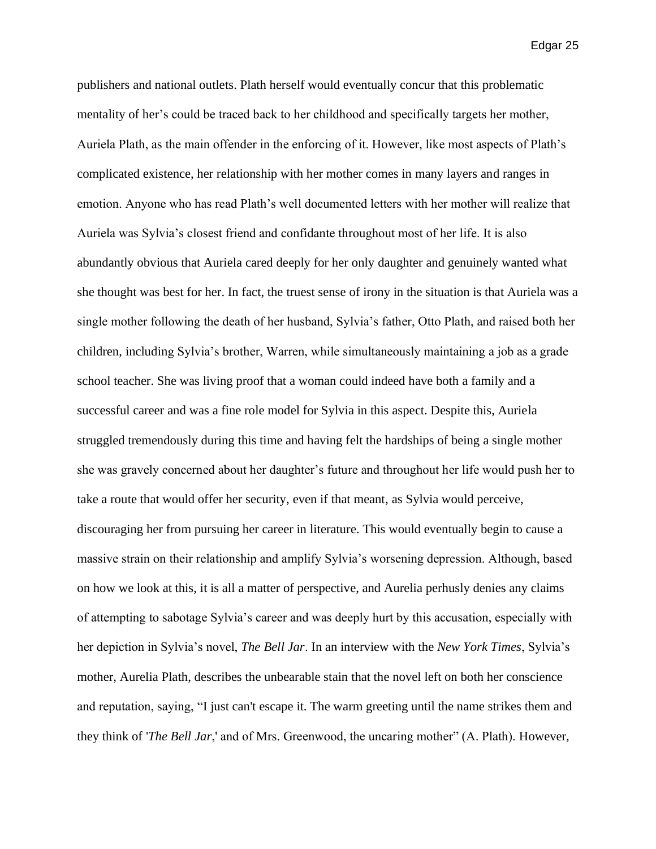publishers and national outlets. Plath herself would eventually concur that this problematic mentality of her's could be traced back to her childhood and specifically targets her mother, Auriela Plath, as the main offender in the enforcing of it. However, like most aspects of Plath's complicated existence, her relationship with her mother comes in many layers and ranges in emotion. Anyone who has read Plath's well documented letters with her mother will realize that Auriela was Sylvia's closest friend and confidante throughout most of her life. It is also abundantly obvious that Auriela cared deeply for her only daughter and genuinely wanted what she thought was best for her. In fact, the truest sense of irony in the situation is that Auriela was a single mother following the death of her husband, Sylvia's father, Otto Plath, and raised both her children, including Sylvia's brother, Warren, while simultaneously maintaining a job as a grade school teacher. She was living proof that a woman could indeed have both a family and a successful career and was a fine role model for Sylvia in this aspect. Despite this, Auriela struggled tremendously during this time and having felt the hardships of being a single mother she was gravely concerned about her daughter's future and throughout her life would push her to take a route that would offer her security, even if that meant, as Sylvia would perceive, discouraging her from pursuing her career in literature. This would eventually begin to cause a massive strain on their relationship and amplify Sylvia's worsening depression. Although, based on how we look at this, it is all a matter of perspective, and Aurelia perhusly denies any claims of attempting to sabotage Sylvia's career and was deeply hurt by this accusation, especially with her depiction in Sylvia's novel, *The Bell Jar*. In an interview with the *New York Times*, Sylvia's mother, Aurelia Plath, describes the unbearable stain that the novel left on both her conscience and reputation, saying, "I just can't escape it. The warm greeting until the name strikes them and they think of '*The Bell Jar*,' and of Mrs. Greenwood, the uncaring mother" (A. Plath). However,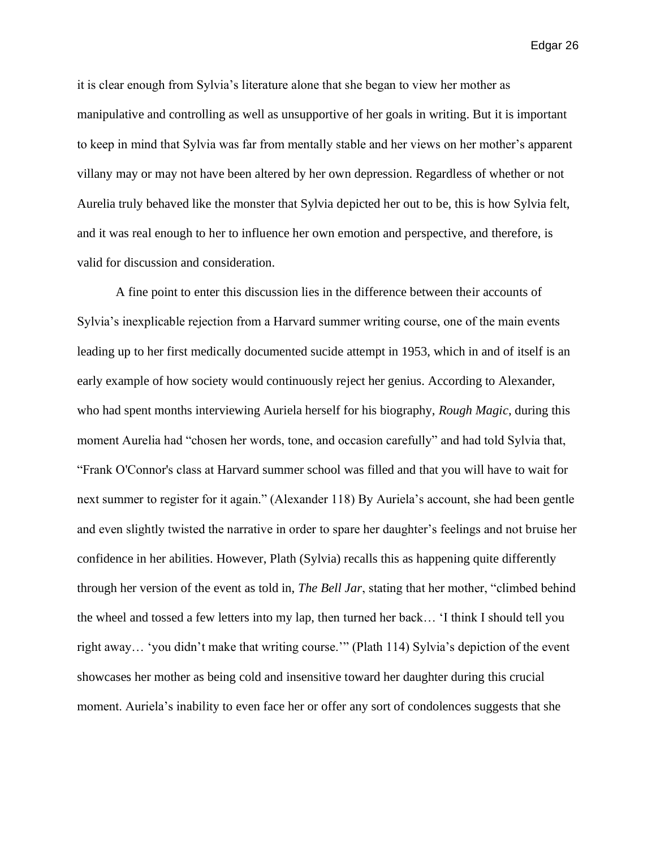it is clear enough from Sylvia's literature alone that she began to view her mother as manipulative and controlling as well as unsupportive of her goals in writing. But it is important to keep in mind that Sylvia was far from mentally stable and her views on her mother's apparent villany may or may not have been altered by her own depression. Regardless of whether or not Aurelia truly behaved like the monster that Sylvia depicted her out to be, this is how Sylvia felt, and it was real enough to her to influence her own emotion and perspective, and therefore, is valid for discussion and consideration.

A fine point to enter this discussion lies in the difference between their accounts of Sylvia's inexplicable rejection from a Harvard summer writing course, one of the main events leading up to her first medically documented sucide attempt in 1953, which in and of itself is an early example of how society would continuously reject her genius. According to Alexander, who had spent months interviewing Auriela herself for his biography, *Rough Magic*, during this moment Aurelia had "chosen her words, tone, and occasion carefully" and had told Sylvia that, "Frank O'Connor's class at Harvard summer school was filled and that you will have to wait for next summer to register for it again." (Alexander 118) By Auriela's account, she had been gentle and even slightly twisted the narrative in order to spare her daughter's feelings and not bruise her confidence in her abilities. However, Plath (Sylvia) recalls this as happening quite differently through her version of the event as told in, *The Bell Jar*, stating that her mother, "climbed behind the wheel and tossed a few letters into my lap, then turned her back… 'I think I should tell you right away… 'you didn't make that writing course.'" (Plath 114) Sylvia's depiction of the event showcases her mother as being cold and insensitive toward her daughter during this crucial moment. Auriela's inability to even face her or offer any sort of condolences suggests that she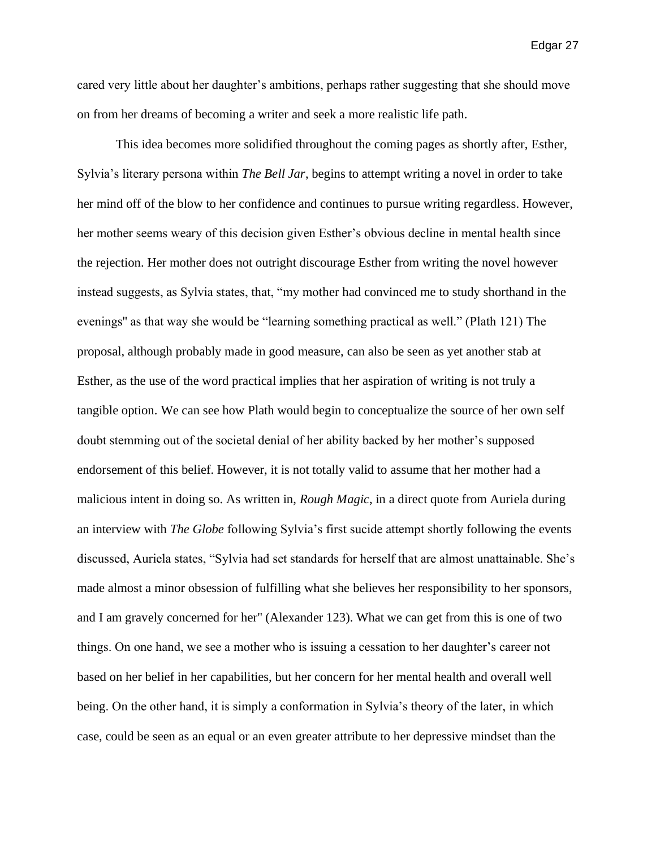cared very little about her daughter's ambitions, perhaps rather suggesting that she should move on from her dreams of becoming a writer and seek a more realistic life path.

This idea becomes more solidified throughout the coming pages as shortly after, Esther, Sylvia's literary persona within *The Bell Jar*, begins to attempt writing a novel in order to take her mind off of the blow to her confidence and continues to pursue writing regardless. However, her mother seems weary of this decision given Esther's obvious decline in mental health since the rejection. Her mother does not outright discourage Esther from writing the novel however instead suggests, as Sylvia states, that, "my mother had convinced me to study shorthand in the evenings'' as that way she would be "learning something practical as well." (Plath 121) The proposal, although probably made in good measure, can also be seen as yet another stab at Esther, as the use of the word practical implies that her aspiration of writing is not truly a tangible option. We can see how Plath would begin to conceptualize the source of her own self doubt stemming out of the societal denial of her ability backed by her mother's supposed endorsement of this belief. However, it is not totally valid to assume that her mother had a malicious intent in doing so. As written in, *Rough Magic*, in a direct quote from Auriela during an interview with *The Globe* following Sylvia's first sucide attempt shortly following the events discussed, Auriela states, "Sylvia had set standards for herself that are almost unattainable. She's made almost a minor obsession of fulfilling what she believes her responsibility to her sponsors, and I am gravely concerned for her'' (Alexander 123). What we can get from this is one of two things. On one hand, we see a mother who is issuing a cessation to her daughter's career not based on her belief in her capabilities, but her concern for her mental health and overall well being. On the other hand, it is simply a conformation in Sylvia's theory of the later, in which case, could be seen as an equal or an even greater attribute to her depressive mindset than the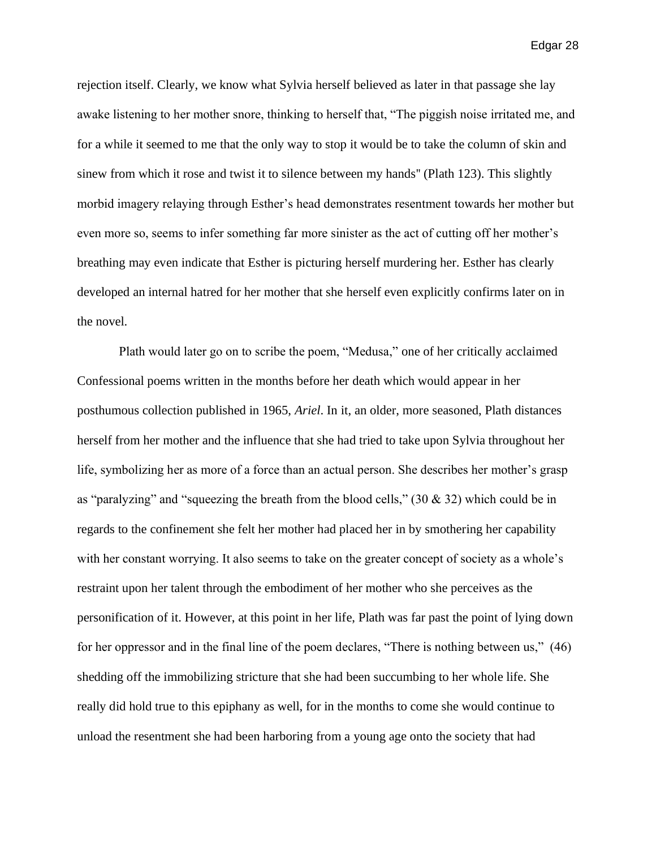rejection itself. Clearly, we know what Sylvia herself believed as later in that passage she lay awake listening to her mother snore, thinking to herself that, "The piggish noise irritated me, and for a while it seemed to me that the only way to stop it would be to take the column of skin and sinew from which it rose and twist it to silence between my hands'' (Plath 123). This slightly morbid imagery relaying through Esther's head demonstrates resentment towards her mother but even more so, seems to infer something far more sinister as the act of cutting off her mother's breathing may even indicate that Esther is picturing herself murdering her. Esther has clearly developed an internal hatred for her mother that she herself even explicitly confirms later on in the novel.

Plath would later go on to scribe the poem, "Medusa," one of her critically acclaimed Confessional poems written in the months before her death which would appear in her posthumous collection published in 1965, *Ariel*. In it, an older, more seasoned, Plath distances herself from her mother and the influence that she had tried to take upon Sylvia throughout her life, symbolizing her as more of a force than an actual person. She describes her mother's grasp as "paralyzing" and "squeezing the breath from the blood cells," (30 & 32) which could be in regards to the confinement she felt her mother had placed her in by smothering her capability with her constant worrying. It also seems to take on the greater concept of society as a whole's restraint upon her talent through the embodiment of her mother who she perceives as the personification of it. However, at this point in her life, Plath was far past the point of lying down for her oppressor and in the final line of the poem declares, "There is nothing between us," (46) shedding off the immobilizing stricture that she had been succumbing to her whole life. She really did hold true to this epiphany as well, for in the months to come she would continue to unload the resentment she had been harboring from a young age onto the society that had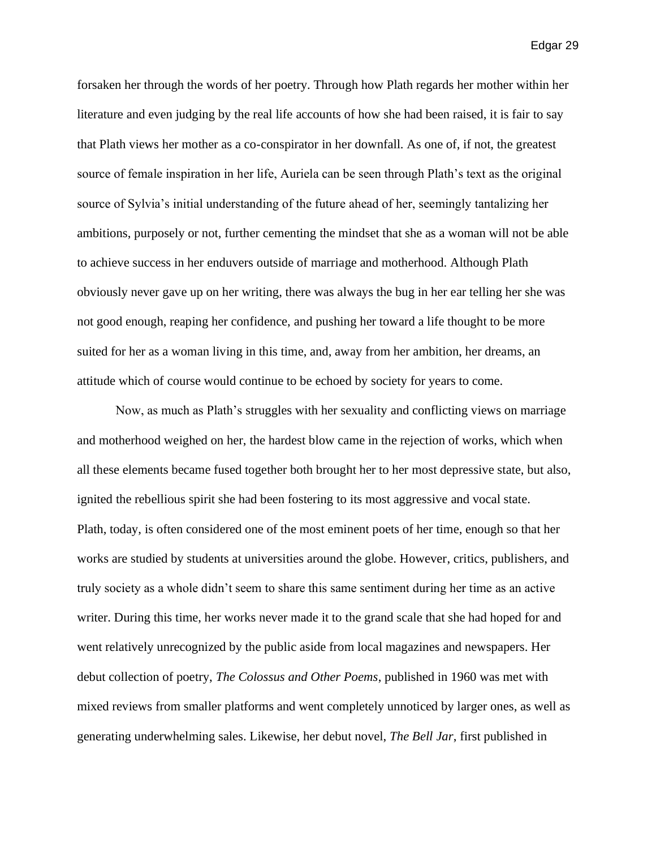forsaken her through the words of her poetry. Through how Plath regards her mother within her literature and even judging by the real life accounts of how she had been raised, it is fair to say that Plath views her mother as a co-conspirator in her downfall. As one of, if not, the greatest source of female inspiration in her life, Auriela can be seen through Plath's text as the original source of Sylvia's initial understanding of the future ahead of her, seemingly tantalizing her ambitions, purposely or not, further cementing the mindset that she as a woman will not be able to achieve success in her enduvers outside of marriage and motherhood. Although Plath obviously never gave up on her writing, there was always the bug in her ear telling her she was not good enough, reaping her confidence, and pushing her toward a life thought to be more suited for her as a woman living in this time, and, away from her ambition, her dreams, an attitude which of course would continue to be echoed by society for years to come.

Now, as much as Plath's struggles with her sexuality and conflicting views on marriage and motherhood weighed on her, the hardest blow came in the rejection of works, which when all these elements became fused together both brought her to her most depressive state, but also, ignited the rebellious spirit she had been fostering to its most aggressive and vocal state. Plath, today, is often considered one of the most eminent poets of her time, enough so that her works are studied by students at universities around the globe. However, critics, publishers, and truly society as a whole didn't seem to share this same sentiment during her time as an active writer. During this time, her works never made it to the grand scale that she had hoped for and went relatively unrecognized by the public aside from local magazines and newspapers. Her debut collection of poetry, *The Colossus and Other Poems*, published in 1960 was met with mixed reviews from smaller platforms and went completely unnoticed by larger ones, as well as generating underwhelming sales. Likewise, her debut novel, *The Bell Jar*, first published in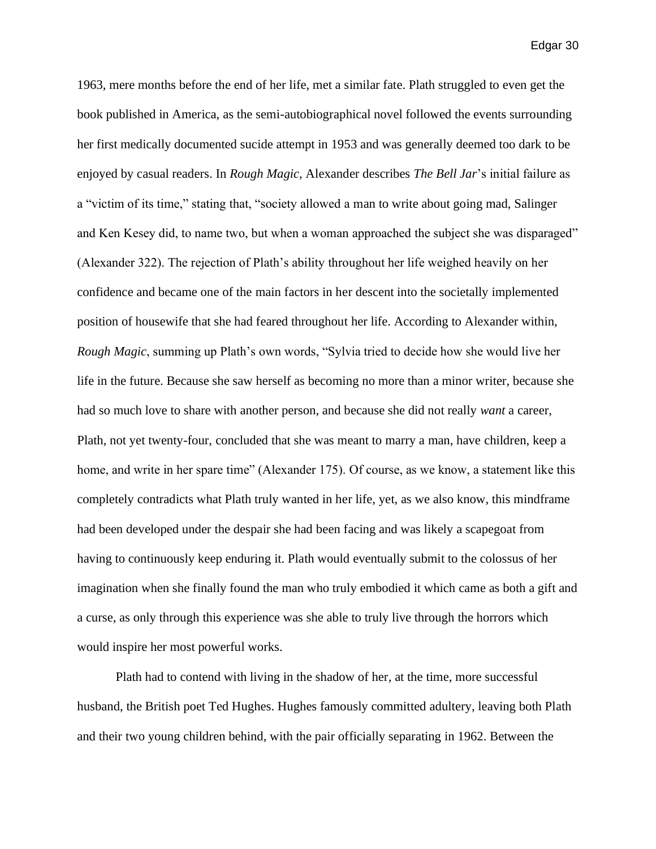1963, mere months before the end of her life, met a similar fate. Plath struggled to even get the book published in America, as the semi-autobiographical novel followed the events surrounding her first medically documented sucide attempt in 1953 and was generally deemed too dark to be enjoyed by casual readers. In *Rough Magic*, Alexander describes *The Bell Jar*'s initial failure as a "victim of its time," stating that, "society allowed a man to write about going mad, Salinger and Ken Kesey did, to name two, but when a woman approached the subject she was disparaged" (Alexander 322). The rejection of Plath's ability throughout her life weighed heavily on her confidence and became one of the main factors in her descent into the societally implemented position of housewife that she had feared throughout her life. According to Alexander within, *Rough Magic*, summing up Plath's own words, "Sylvia tried to decide how she would live her life in the future. Because she saw herself as becoming no more than a minor writer, because she had so much love to share with another person, and because she did not really *want* a career, Plath, not yet twenty-four, concluded that she was meant to marry a man, have children, keep a home, and write in her spare time" (Alexander 175). Of course, as we know, a statement like this completely contradicts what Plath truly wanted in her life, yet, as we also know, this mindframe had been developed under the despair she had been facing and was likely a scapegoat from having to continuously keep enduring it. Plath would eventually submit to the colossus of her imagination when she finally found the man who truly embodied it which came as both a gift and a curse, as only through this experience was she able to truly live through the horrors which would inspire her most powerful works.

Plath had to contend with living in the shadow of her, at the time, more successful husband, the British poet Ted Hughes. Hughes famously committed adultery, leaving both Plath and their two young children behind, with the pair officially separating in 1962. Between the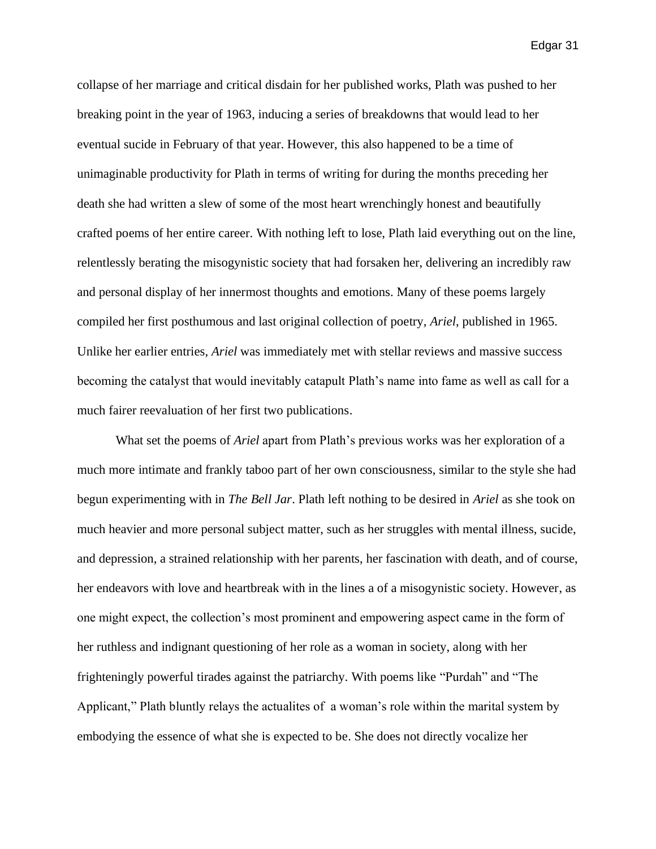collapse of her marriage and critical disdain for her published works, Plath was pushed to her breaking point in the year of 1963, inducing a series of breakdowns that would lead to her eventual sucide in February of that year. However, this also happened to be a time of unimaginable productivity for Plath in terms of writing for during the months preceding her death she had written a slew of some of the most heart wrenchingly honest and beautifully crafted poems of her entire career. With nothing left to lose, Plath laid everything out on the line, relentlessly berating the misogynistic society that had forsaken her, delivering an incredibly raw and personal display of her innermost thoughts and emotions. Many of these poems largely compiled her first posthumous and last original collection of poetry, *Ariel*, published in 1965. Unlike her earlier entries, *Ariel* was immediately met with stellar reviews and massive success becoming the catalyst that would inevitably catapult Plath's name into fame as well as call for a much fairer reevaluation of her first two publications.

What set the poems of *Ariel* apart from Plath's previous works was her exploration of a much more intimate and frankly taboo part of her own consciousness, similar to the style she had begun experimenting with in *The Bell Jar*. Plath left nothing to be desired in *Ariel* as she took on much heavier and more personal subject matter, such as her struggles with mental illness, sucide, and depression, a strained relationship with her parents, her fascination with death, and of course, her endeavors with love and heartbreak with in the lines a of a misogynistic society. However, as one might expect, the collection's most prominent and empowering aspect came in the form of her ruthless and indignant questioning of her role as a woman in society, along with her frighteningly powerful tirades against the patriarchy. With poems like "Purdah" and "The Applicant," Plath bluntly relays the actualites of a woman's role within the marital system by embodying the essence of what she is expected to be. She does not directly vocalize her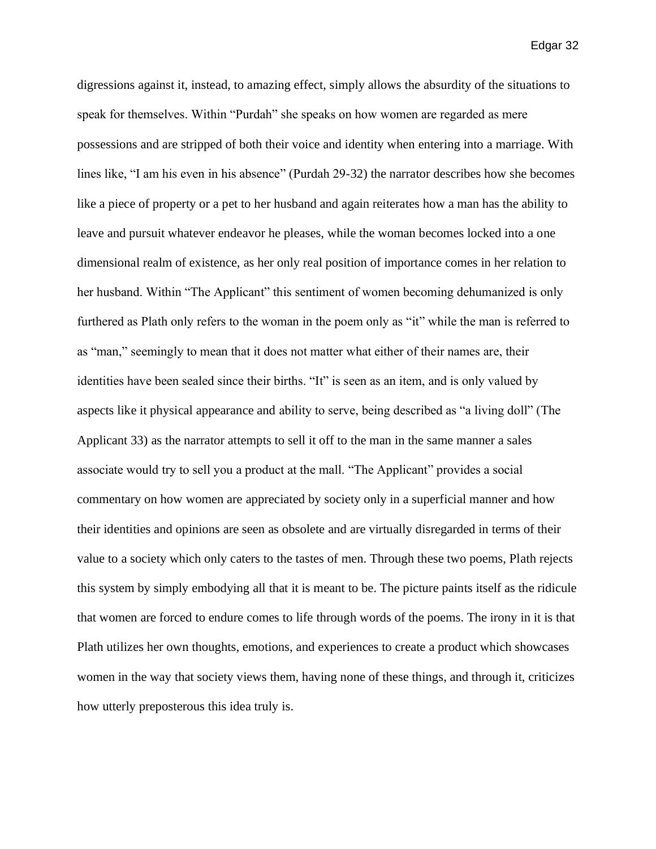digressions against it, instead, to amazing effect, simply allows the absurdity of the situations to speak for themselves. Within "Purdah" she speaks on how women are regarded as mere possessions and are stripped of both their voice and identity when entering into a marriage. With lines like, "I am his even in his absence" (Purdah 29-32) the narrator describes how she becomes like a piece of property or a pet to her husband and again reiterates how a man has the ability to leave and pursuit whatever endeavor he pleases, while the woman becomes locked into a one dimensional realm of existence, as her only real position of importance comes in her relation to her husband. Within "The Applicant" this sentiment of women becoming dehumanized is only furthered as Plath only refers to the woman in the poem only as "it" while the man is referred to as "man," seemingly to mean that it does not matter what either of their names are, their identities have been sealed since their births. "It" is seen as an item, and is only valued by aspects like it physical appearance and ability to serve, being described as "a living doll" (The Applicant 33) as the narrator attempts to sell it off to the man in the same manner a sales associate would try to sell you a product at the mall. "The Applicant" provides a social commentary on how women are appreciated by society only in a superficial manner and how their identities and opinions are seen as obsolete and are virtually disregarded in terms of their value to a society which only caters to the tastes of men. Through these two poems, Plath rejects this system by simply embodying all that it is meant to be. The picture paints itself as the ridicule that women are forced to endure comes to life through words of the poems. The irony in it is that Plath utilizes her own thoughts, emotions, and experiences to create a product which showcases women in the way that society views them, having none of these things, and through it, criticizes how utterly preposterous this idea truly is.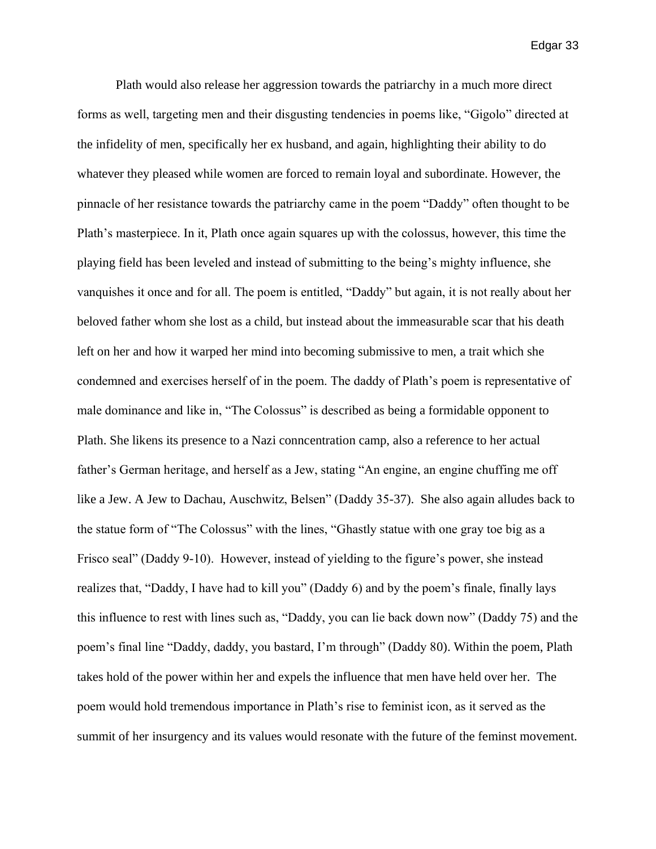Plath would also release her aggression towards the patriarchy in a much more direct forms as well, targeting men and their disgusting tendencies in poems like, "Gigolo" directed at the infidelity of men, specifically her ex husband, and again, highlighting their ability to do whatever they pleased while women are forced to remain loyal and subordinate. However, the pinnacle of her resistance towards the patriarchy came in the poem "Daddy" often thought to be Plath's masterpiece. In it, Plath once again squares up with the colossus, however, this time the playing field has been leveled and instead of submitting to the being's mighty influence, she vanquishes it once and for all. The poem is entitled, "Daddy" but again, it is not really about her beloved father whom she lost as a child, but instead about the immeasurable scar that his death left on her and how it warped her mind into becoming submissive to men, a trait which she condemned and exercises herself of in the poem. The daddy of Plath's poem is representative of male dominance and like in, "The Colossus" is described as being a formidable opponent to Plath. She likens its presence to a Nazi conncentration camp, also a reference to her actual father's German heritage, and herself as a Jew, stating "An engine, an engine chuffing me off like a Jew. A Jew to Dachau, Auschwitz, Belsen" (Daddy 35-37). She also again alludes back to the statue form of "The Colossus" with the lines, "Ghastly statue with one gray toe big as a Frisco seal" (Daddy 9-10). However, instead of yielding to the figure's power, she instead realizes that, "Daddy, I have had to kill you" (Daddy 6) and by the poem's finale, finally lays this influence to rest with lines such as, "Daddy, you can lie back down now" (Daddy 75) and the poem's final line "Daddy, daddy, you bastard, I'm through" (Daddy 80). Within the poem, Plath takes hold of the power within her and expels the influence that men have held over her. The poem would hold tremendous importance in Plath's rise to feminist icon, as it served as the summit of her insurgency and its values would resonate with the future of the feminst movement.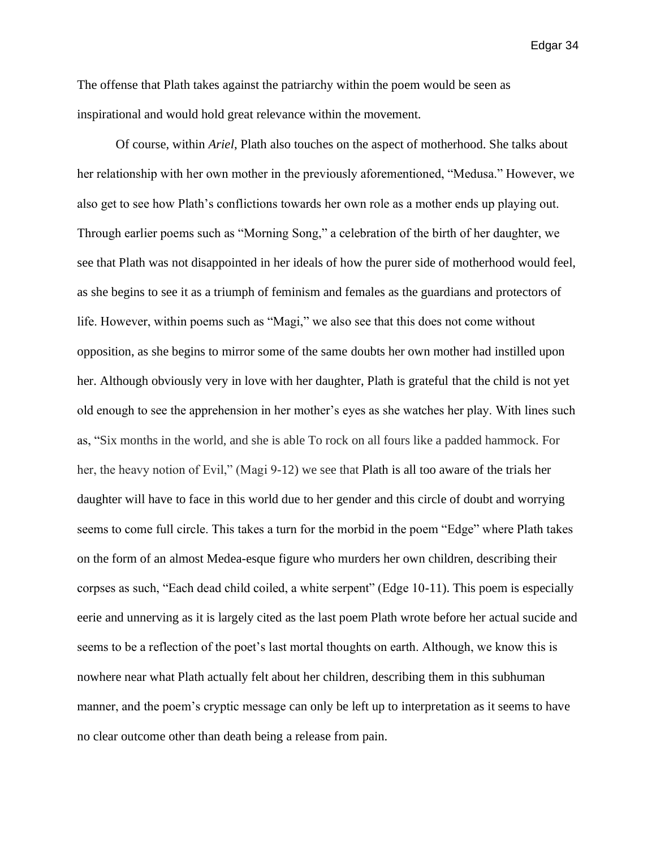The offense that Plath takes against the patriarchy within the poem would be seen as inspirational and would hold great relevance within the movement.

Of course, within *Ariel*, Plath also touches on the aspect of motherhood. She talks about her relationship with her own mother in the previously aforementioned, "Medusa." However, we also get to see how Plath's conflictions towards her own role as a mother ends up playing out. Through earlier poems such as "Morning Song," a celebration of the birth of her daughter, we see that Plath was not disappointed in her ideals of how the purer side of motherhood would feel, as she begins to see it as a triumph of feminism and females as the guardians and protectors of life. However, within poems such as "Magi," we also see that this does not come without opposition, as she begins to mirror some of the same doubts her own mother had instilled upon her. Although obviously very in love with her daughter, Plath is grateful that the child is not yet old enough to see the apprehension in her mother's eyes as she watches her play. With lines such as, "Six months in the world, and she is able To rock on all fours like a padded hammock. For her, the heavy notion of Evil," (Magi 9-12) we see that Plath is all too aware of the trials her daughter will have to face in this world due to her gender and this circle of doubt and worrying seems to come full circle. This takes a turn for the morbid in the poem "Edge" where Plath takes on the form of an almost Medea-esque figure who murders her own children, describing their corpses as such, "Each dead child coiled, a white serpent" (Edge 10-11). This poem is especially eerie and unnerving as it is largely cited as the last poem Plath wrote before her actual sucide and seems to be a reflection of the poet's last mortal thoughts on earth. Although, we know this is nowhere near what Plath actually felt about her children, describing them in this subhuman manner, and the poem's cryptic message can only be left up to interpretation as it seems to have no clear outcome other than death being a release from pain.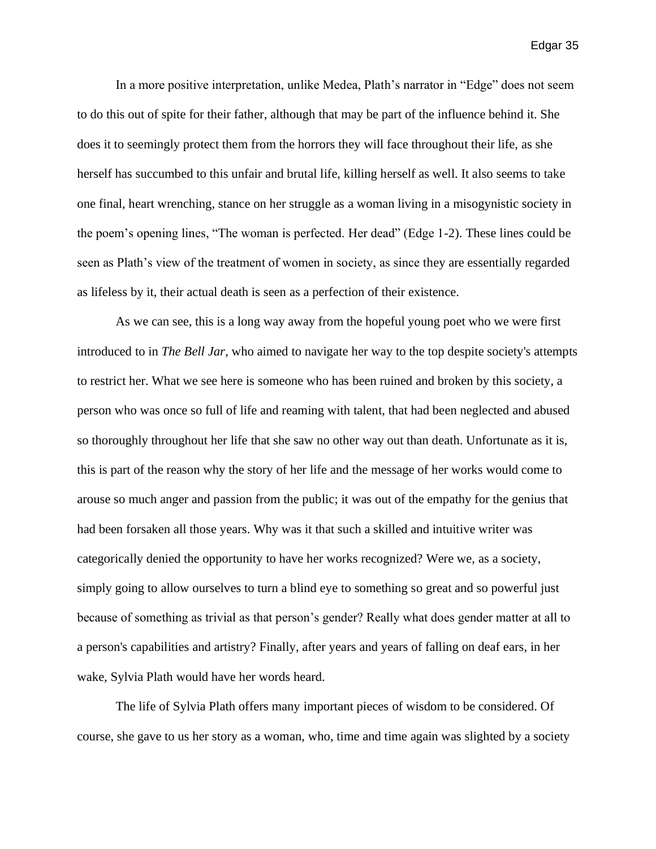In a more positive interpretation, unlike Medea, Plath's narrator in "Edge" does not seem to do this out of spite for their father, although that may be part of the influence behind it. She does it to seemingly protect them from the horrors they will face throughout their life, as she herself has succumbed to this unfair and brutal life, killing herself as well. It also seems to take one final, heart wrenching, stance on her struggle as a woman living in a misogynistic society in the poem's opening lines, "The woman is perfected. Her dead" (Edge 1-2). These lines could be seen as Plath's view of the treatment of women in society, as since they are essentially regarded as lifeless by it, their actual death is seen as a perfection of their existence.

As we can see, this is a long way away from the hopeful young poet who we were first introduced to in *The Bell Jar*, who aimed to navigate her way to the top despite society's attempts to restrict her. What we see here is someone who has been ruined and broken by this society, a person who was once so full of life and reaming with talent, that had been neglected and abused so thoroughly throughout her life that she saw no other way out than death. Unfortunate as it is, this is part of the reason why the story of her life and the message of her works would come to arouse so much anger and passion from the public; it was out of the empathy for the genius that had been forsaken all those years. Why was it that such a skilled and intuitive writer was categorically denied the opportunity to have her works recognized? Were we, as a society, simply going to allow ourselves to turn a blind eye to something so great and so powerful just because of something as trivial as that person's gender? Really what does gender matter at all to a person's capabilities and artistry? Finally, after years and years of falling on deaf ears, in her wake, Sylvia Plath would have her words heard.

The life of Sylvia Plath offers many important pieces of wisdom to be considered. Of course, she gave to us her story as a woman, who, time and time again was slighted by a society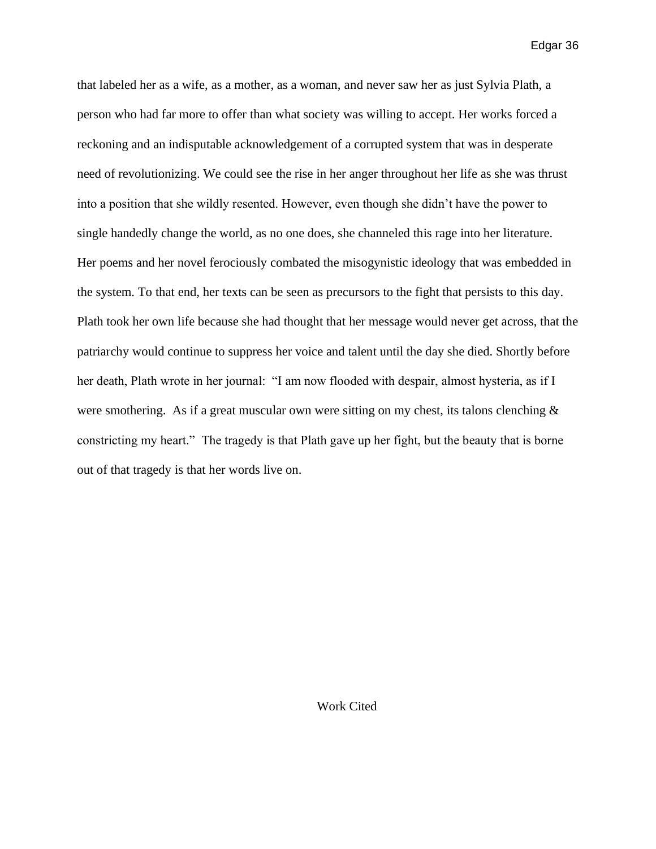that labeled her as a wife, as a mother, as a woman, and never saw her as just Sylvia Plath, a person who had far more to offer than what society was willing to accept. Her works forced a reckoning and an indisputable acknowledgement of a corrupted system that was in desperate need of revolutionizing. We could see the rise in her anger throughout her life as she was thrust into a position that she wildly resented. However, even though she didn't have the power to single handedly change the world, as no one does, she channeled this rage into her literature. Her poems and her novel ferociously combated the misogynistic ideology that was embedded in the system. To that end, her texts can be seen as precursors to the fight that persists to this day. Plath took her own life because she had thought that her message would never get across, that the patriarchy would continue to suppress her voice and talent until the day she died. Shortly before her death, Plath wrote in her journal: "I am now flooded with despair, almost hysteria, as if I were smothering. As if a great muscular own were sitting on my chest, its talons clenching  $\&$ constricting my heart." The tragedy is that Plath gave up her fight, but the beauty that is borne out of that tragedy is that her words live on.

Work Cited